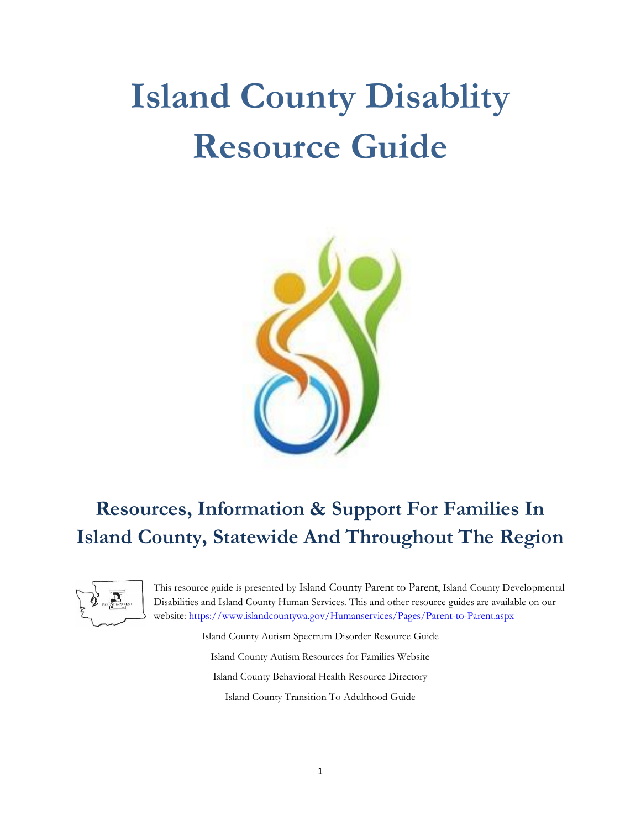# **Island County Disablity Resource Guide**



# **Resources, Information & Support For Families In Island County, Statewide And Throughout The Region**



This resource guide is presented by Island County Parent to Parent, Island County Developmental Disabilities and Island County Human Services. This and other resource guides are available on our website:<https://www.islandcountywa.gov/Humanservices/Pages/Parent-to-Parent.aspx>

> Island County Autism Spectrum Disorder Resource Guide Island County Autism Resources for Families Website Island County Behavioral Health Resource Directory Island County Transition To Adulthood Guide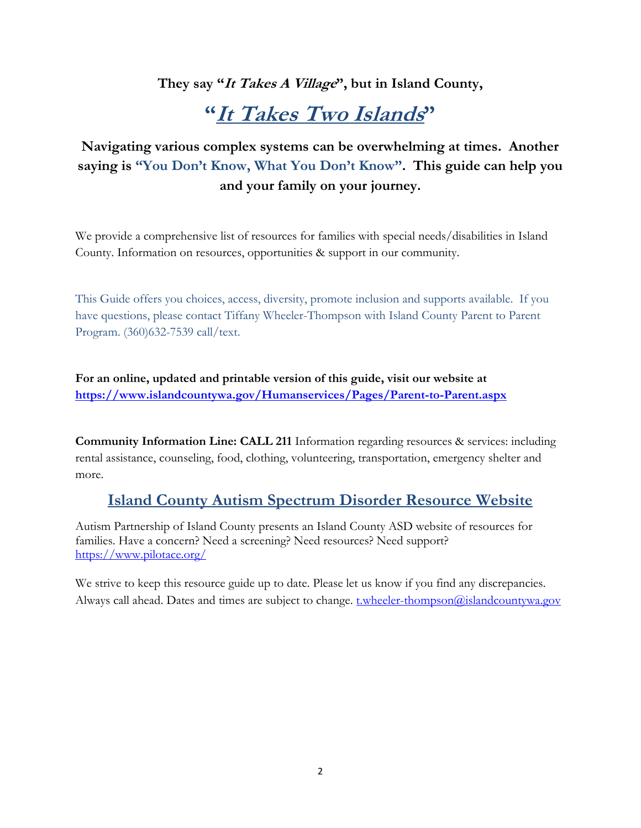## **They say "It Takes A Village", but in Island County,**

# **"It Takes Two Islands"**

# **Navigating various complex systems can be overwhelming at times. Another saying is "You Don't Know, What You Don't Know". This guide can help you and your family on your journey.**

We provide a comprehensive list of resources for families with special needs/disabilities in Island County. Information on resources, opportunities & support in our community.

This Guide offers you choices, access, diversity, promote inclusion and supports available. If you have questions, please contact Tiffany Wheeler-Thompson with Island County Parent to Parent Program. (360)632-7539 call/text.

**For an online, updated and printable version of this guide, visit our website at <https://www.islandcountywa.gov/Humanservices/Pages/Parent-to-Parent.aspx>**

**Community Information Line: CALL 211** Information regarding resources & services: including rental assistance, counseling, food, clothing, volunteering, transportation, emergency shelter and more.

## **Island County Autism Spectrum Disorder Resource Website**

Autism Partnership of Island County presents an Island County ASD website of resources for families. Have a concern? Need a screening? Need resources? Need support? <https://www.pilotace.org/>

We strive to keep this resource guide up to date. Please let us know if you find any discrepancies. Always call ahead. Dates and times are subject to change. [t.wheeler-thompson@islandcountywa.gov](mailto:t.wheeler-thompson@islandcountywa.gov)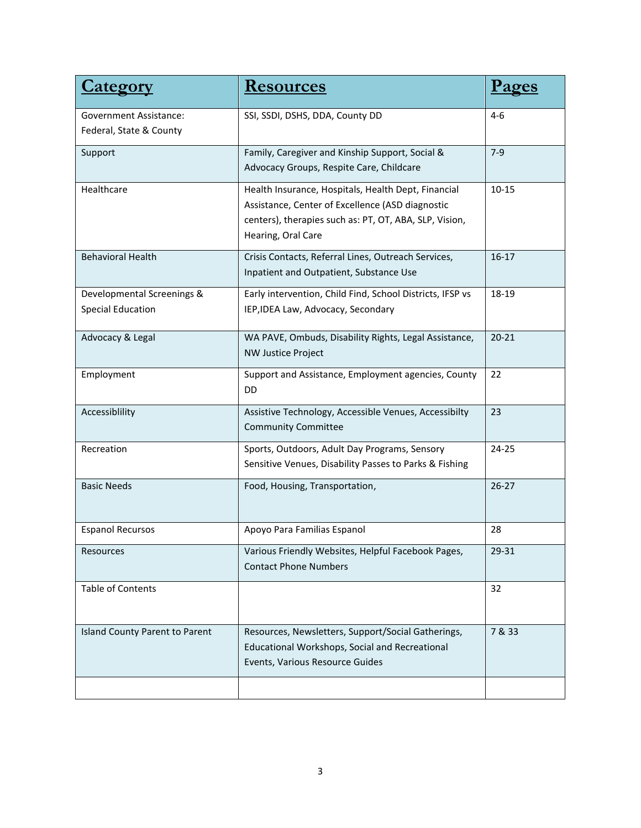| <u>Category</u>                                        | <u>Resources</u>                                                                                                                                                                        |           |
|--------------------------------------------------------|-----------------------------------------------------------------------------------------------------------------------------------------------------------------------------------------|-----------|
| Government Assistance:<br>Federal, State & County      | SSI, SSDI, DSHS, DDA, County DD                                                                                                                                                         | $4-6$     |
| Support                                                | Family, Caregiver and Kinship Support, Social &<br>Advocacy Groups, Respite Care, Childcare                                                                                             | $7-9$     |
| Healthcare                                             | Health Insurance, Hospitals, Health Dept, Financial<br>Assistance, Center of Excellence (ASD diagnostic<br>centers), therapies such as: PT, OT, ABA, SLP, Vision,<br>Hearing, Oral Care | $10 - 15$ |
| <b>Behavioral Health</b>                               | Crisis Contacts, Referral Lines, Outreach Services,<br>Inpatient and Outpatient, Substance Use                                                                                          | $16 - 17$ |
| Developmental Screenings &<br><b>Special Education</b> | Early intervention, Child Find, School Districts, IFSP vs<br>IEP, IDEA Law, Advocacy, Secondary                                                                                         | 18-19     |
| Advocacy & Legal                                       | WA PAVE, Ombuds, Disability Rights, Legal Assistance,<br><b>NW Justice Project</b>                                                                                                      | $20 - 21$ |
| Employment                                             | Support and Assistance, Employment agencies, County<br><b>DD</b>                                                                                                                        | 22        |
| Accessiblility                                         | Assistive Technology, Accessible Venues, Accessibilty<br><b>Community Committee</b>                                                                                                     | 23        |
| Recreation                                             | Sports, Outdoors, Adult Day Programs, Sensory<br>Sensitive Venues, Disability Passes to Parks & Fishing                                                                                 | $24 - 25$ |
| <b>Basic Needs</b>                                     | Food, Housing, Transportation,                                                                                                                                                          | $26 - 27$ |
| <b>Espanol Recursos</b>                                | Apoyo Para Familias Espanol                                                                                                                                                             | 28        |
| Resources                                              | Various Friendly Websites, Helpful Facebook Pages,<br><b>Contact Phone Numbers</b>                                                                                                      | 29-31     |
| <b>Table of Contents</b>                               |                                                                                                                                                                                         | 32        |
| Island County Parent to Parent                         | Resources, Newsletters, Support/Social Gatherings,<br>Educational Workshops, Social and Recreational<br>Events, Various Resource Guides                                                 | 7 & 33    |
|                                                        |                                                                                                                                                                                         |           |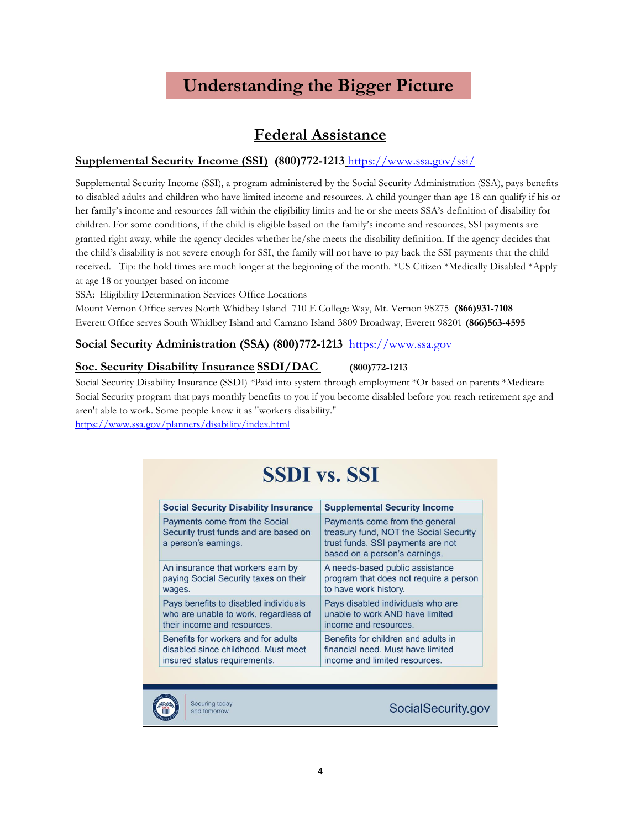# **Understanding the Bigger Picture**

## **Federal Assistance**

### **Supplemental Security Income (SSI) (800)772-1213** <https://www.ssa.gov/ssi/>

Supplemental Security Income (SSI), a program administered by the Social Security Administration (SSA), pays benefits to disabled adults and children who have limited income and resources. A child younger than age 18 can qualify if his or her family's income and resources fall within the eligibility limits and he or she meets SSA's definition of disability for children. For some conditions, if the child is eligible based on the family's income and resources, SSI payments are granted right away, while the agency decides whether he/she meets the disability definition. If the agency decides that the child's disability is not severe enough for SSI, the family will not have to pay back the SSI payments that the child received. Tip: the hold times are much longer at the beginning of the month. \*US Citizen \*Medically Disabled \*Apply at age 18 or younger based on income

SSA: Eligibility Determination Services Office Locations

Mount Vernon Office serves North Whidbey Island 710 E College Way, Mt. Vernon 98275 **(866)931-7108** Everett Office serves South Whidbey Island and Camano Island 3809 Broadway, Everett 98201 **(866)563-4595**

### **Social Security Administration (SSA) (800)772-1213** [https://www.ssa.gov](http://www.ssa.gov/)

#### **Soc. Security Disability Insurance SSDI/DAC (800)772-1213**

Social Security Disability Insurance (SSDI) \*Paid into system through employment \*Or based on parents \*Medicare Social Security program that pays monthly benefits to you if you become disabled before you reach retirement age and aren't able to work. Some people know it as "workers disability."

<https://www.ssa.gov/planners/disability/index.html>

# **SSDI** vs. SSI

| <b>Social Security Disability Insurance</b>                                                    | <b>Supplemental Security Income</b>                                                                                                            |
|------------------------------------------------------------------------------------------------|------------------------------------------------------------------------------------------------------------------------------------------------|
| Payments come from the Social<br>Security trust funds and are based on<br>a person's earnings. | Payments come from the general<br>treasury fund, NOT the Social Security<br>trust funds. SSI payments are not<br>based on a person's earnings. |
| An insurance that workers earn by                                                              | A needs-based public assistance                                                                                                                |
| paying Social Security taxes on their                                                          | program that does not require a person                                                                                                         |
| wages.                                                                                         | to have work history.                                                                                                                          |
| Pays benefits to disabled individuals                                                          | Pays disabled individuals who are                                                                                                              |
| who are unable to work, regardless of                                                          | unable to work AND have limited                                                                                                                |
| their income and resources.                                                                    | income and resources.                                                                                                                          |
| Benefits for workers and for adults                                                            | Benefits for children and adults in                                                                                                            |
| disabled since childhood. Must meet                                                            | financial need. Must have limited                                                                                                              |
| insured status requirements.                                                                   | income and limited resources.                                                                                                                  |



Securing today and tomorrow

SocialSecurity.gov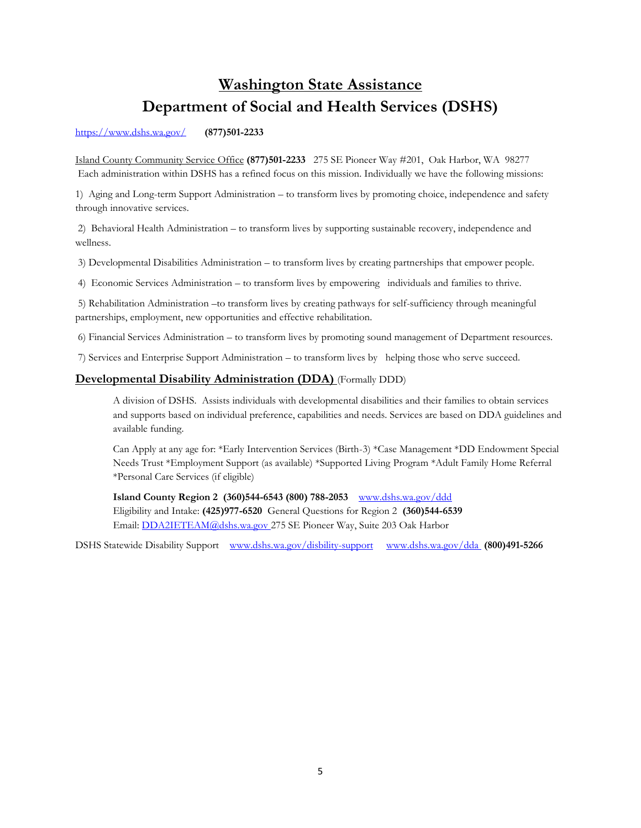# **Washington State Assistance Department of Social and Health Services (DSHS)**

<https://www.dshs.wa.gov/> **(877)501-2233**

Island County Community Service Office **(877)501-2233** 275 SE Pioneer Way #201, Oak Harbor, WA 98277 Each administration within DSHS has a refined focus on this mission. Individually we have the following missions:

1) Aging and Long-term Support Administration – to transform lives by promoting choice, independence and safety through innovative services.

2) Behavioral Health Administration – to transform lives by supporting sustainable recovery, independence and wellness.

3) Developmental Disabilities Administration – to transform lives by creating partnerships that empower people.

4) Economic Services Administration – to transform lives by empowering individuals and families to thrive.

5) Rehabilitation Administration –to transform lives by creating pathways for self-sufficiency through meaningful partnerships, employment, new opportunities and effective rehabilitation.

6) Financial Services Administration – to transform lives by promoting sound management of Department resources.

7) Services and Enterprise Support Administration – to transform lives by helping those who serve succeed.

#### **Developmental Disability Administration (DDA)** (Formally DDD)

A division of DSHS. Assists individuals with developmental disabilities and their families to obtain services and supports based on individual preference, capabilities and needs. Services are based on DDA guidelines and available funding.

Can Apply at any age for: \*Early Intervention Services (Birth-3) \*Case Management \*DD Endowment Special Needs Trust \*Employment Support (as available) \*Supported Living Program \*Adult Family Home Referral \*Personal Care Services (if eligible)

**Island County Region 2 (360)544-6543 (800) 788-2053** <www.dshs.wa.gov/ddd> Eligibility and Intake: **(425)977-6520** General Questions for Region 2 **(360)544-6539** Email: [DDA2IETEAM@dshs.wa.gov](mailto:DDA2IETEAM@dshs.wa.gov) 275 SE Pioneer Way, Suite 203 Oak Harbor

DSHS Statewide Disability Support [www.dshs.wa.gov/disbility-support](http://www.dshs.wa.gov/disbility-support) [www.dshs.wa.gov/dda](http://www.dshs.wa.gov/dda) **(800)491-5266**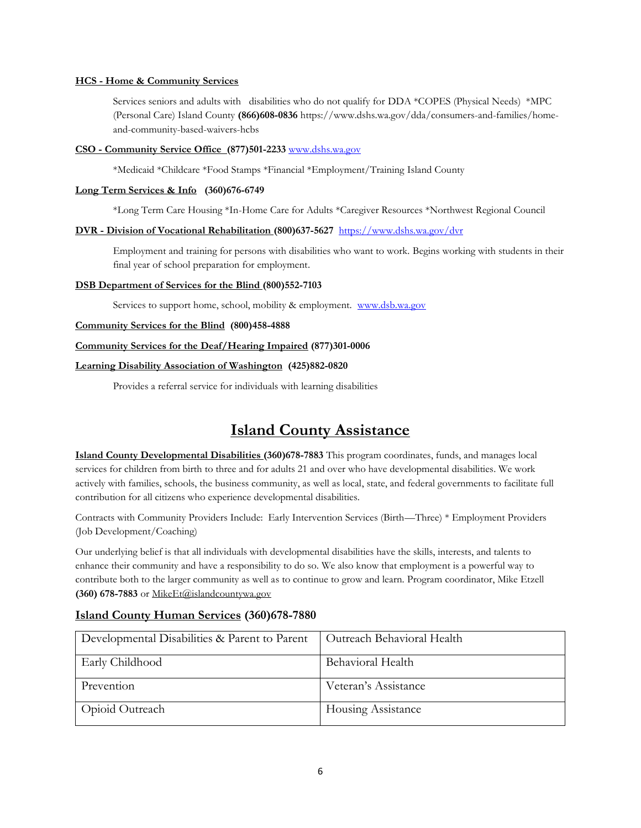#### **HCS - Home & Community Services**

Services seniors and adults with disabilities who do not qualify for DDA \*COPES (Physical Needs) \*MPC (Personal Care) Island County **(866)608-0836** https://www.dshs.wa.gov/dda/consumers-and-families/homeand-community-based-waivers-hcbs

#### **CSO - Community Service Office (877)501-2233** [www.dshs.wa.gov](http://www.dshs.wa.gov/)

\*Medicaid \*Childcare \*Food Stamps \*Financial \*Employment/Training Island County

#### **Long Term Services & Info (360)676-6749**

\*Long Term Care Housing \*In-Home Care for Adults \*Caregiver Resources \*Northwest Regional Council

#### **DVR - Division of Vocational Rehabilitation (800)637-5627** <https://www.dshs.wa.gov/dvr>

Employment and training for persons with disabilities who want to work. Begins working with students in their final year of school preparation for employment.

#### **DSB Department of Services for the Blind (800)552-7103**

Services to support home, school, mobility & employment. <www.dsb.wa.gov>

#### **Community Services for the Blind (800)458-4888**

#### **Community Services for the Deaf/Hearing Impaired (877)301-0006**

#### **Learning Disability Association of Washington (425)882-0820**

Provides a referral service for individuals with learning disabilities

## **Island County Assistance**

**Island County Developmental Disabilities (360)678-7883** This program coordinates, funds, and manages local services for children from birth to three and for adults 21 and over who have developmental disabilities. We work actively with families, schools, the business community, as well as local, state, and federal governments to facilitate full contribution for all citizens who experience developmental disabilities.

Contracts with Community Providers Include: Early Intervention Services (Birth—Three) \* Employment Providers (Job Development/Coaching)

Our underlying belief is that all individuals with developmental disabilities have the skills, interests, and talents to enhance their community and have a responsibility to do so. We also know that employment is a powerful way to contribute both to the larger community as well as to continue to grow and learn. Program coordinator, Mike Etzell **(360) 678-7883** or MikeEt@islandcountywa.gov

#### **Island County Human Services (360)678-7880**

| Developmental Disabilities & Parent to Parent | Outreach Behavioral Health |
|-----------------------------------------------|----------------------------|
| Early Childhood                               | Behavioral Health          |
| Prevention                                    | Veteran's Assistance       |
| Opioid Outreach                               | <b>Housing Assistance</b>  |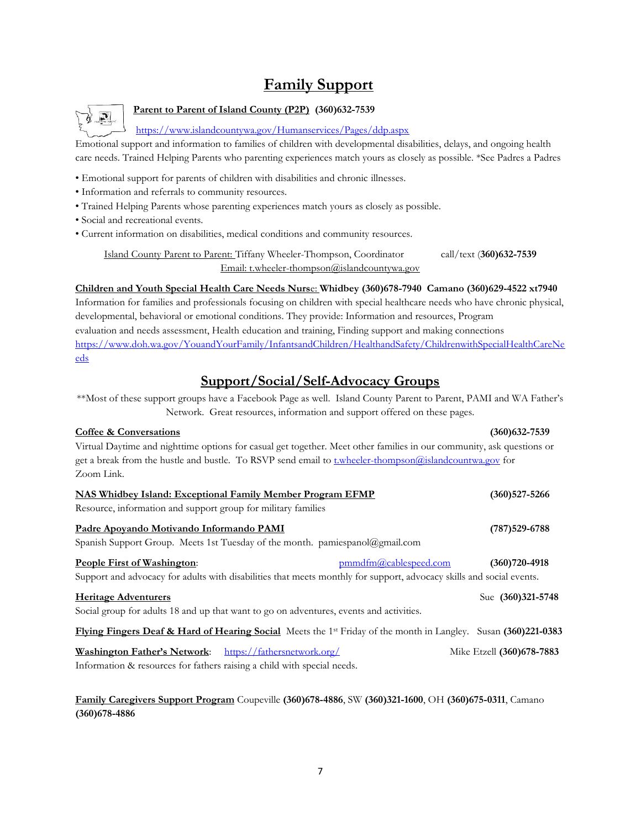# **Family Support**



### **Parent to Parent of Island County (P2P) (360)632-7539**

<https://www.islandcountywa.gov/Humanservices/Pages/ddp.aspx>

Emotional support and information to families of children with developmental disabilities, delays, and ongoing health care needs. Trained Helping Parents who parenting experiences match yours as closely as possible. \*See Padres a Padres

- Emotional support for parents of children with disabilities and chronic illnesses.
- Information and referrals to community resources.
- Trained Helping Parents whose parenting experiences match yours as closely as possible.
- Social and recreational events.
- Current information on disabilities, medical conditions and community resources.

Island County Parent to Parent: Tiffany Wheeler-Thompson, Coordinator call/text (**360)632-7539** Email: t.wheeler-thompson@islandcountywa.gov

**Children and Youth Special Health Care Needs Nurs**e: **Whidbey (360)678-7940 Camano (360)629-4522 xt7940**  Information for families and professionals focusing on children with special healthcare needs who have chronic physical, developmental, behavioral or emotional conditions. They provide: Information and resources, Program evaluation and needs assessment, Health education and training, Finding support and making connections [https://www.doh.wa.gov/YouandYourFamily/InfantsandChildren/HealthandSafety/ChildrenwithSpecialHealthCareNe](https://www.doh.wa.gov/YouandYourFamily/InfantsandChildren/HealthandSafety/ChildrenwithSpecialHealthCareNeeds) [eds](https://www.doh.wa.gov/YouandYourFamily/InfantsandChildren/HealthandSafety/ChildrenwithSpecialHealthCareNeeds)

## **Support/Social/Self-Advocacy Groups**

\*\*Most of these support groups have a Facebook Page as well. Island County Parent to Parent, PAMI and WA Father's Network. Great resources, information and support offered on these pages.

#### **Coffee & Conversations (360)632-7539**

Virtual Daytime and nighttime options for casual get together. Meet other families in our community, ask questions or get a break from the hustle and bustle. To RSVP send email to *t.wheeler-thompson@islandcountwa.gov* for Zoom Link.

| <b>NAS Whidbey Island: Exceptional Family Member Program EFMP</b>                                                                     | (360)527-5266             |
|---------------------------------------------------------------------------------------------------------------------------------------|---------------------------|
| Resource, information and support group for military families                                                                         |                           |
| Padre Apovando Motivando Informando PAMI                                                                                              | $(787)529 - 6788$         |
| Spanish Support Group. Meets 1st Tuesday of the month. pamiespanol@gmail.com                                                          |                           |
| People First of Washington:<br>$pmmdfm(a)$ cablespeed.com                                                                             | $(360)720 - 4918$         |
| Support and advocacy for adults with disabilities that meets monthly for support, advocacy skills and social events.                  |                           |
| <b>Heritage Adventurers</b>                                                                                                           | Sue (360)321-5748         |
| Social group for adults 18 and up that want to go on adventures, events and activities.                                               |                           |
| <b>Flying Fingers Deaf &amp; Hard of Hearing Social</b> Meets the 1 <sup>st</sup> Friday of the month in Langley. Susan (360)221-0383 |                           |
| https://fathersnetwork.org/<br><b>Washington Father's Network:</b>                                                                    | Mike Etzell (360)678-7883 |
| Information & resources for fathers raising a child with special needs.                                                               |                           |

**Family Caregivers Support Program** Coupeville **(360)678-4886**, SW **(360)321-1600**, OH **(360)675-0311**, Camano **(360)678-4886**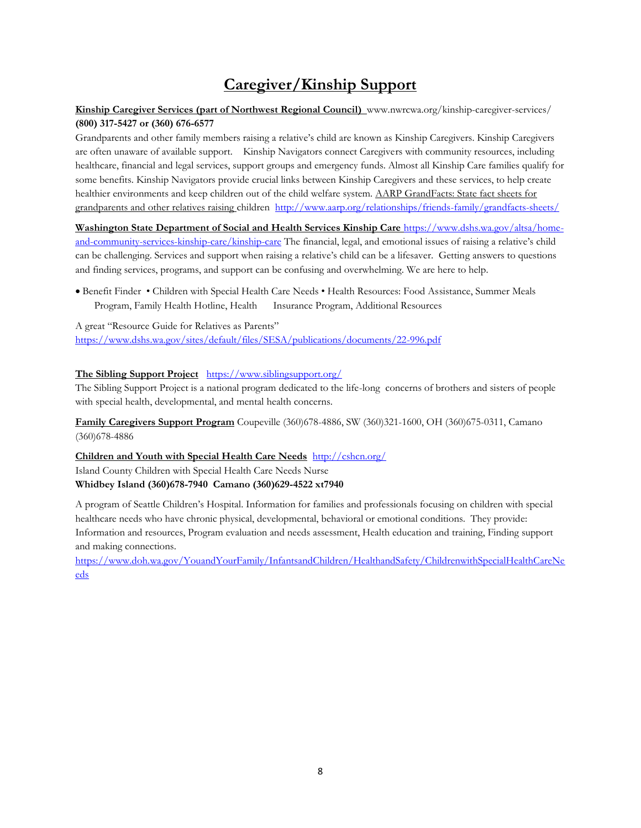# **Caregiver/Kinship Support**

#### **Kinship Caregiver Services (part of Northwest Regional Council)** www.nwrcwa.org/kinship-caregiver-services/ **(800) 317-5427 or (360) 676-6577**

Grandparents and other family members raising a relative's child are known as Kinship Caregivers. Kinship Caregivers are often unaware of available support. Kinship Navigators connect Caregivers with community resources, including healthcare, financial and legal services, support groups and emergency funds. Almost all Kinship Care families qualify for some benefits. Kinship Navigators provide crucial links between Kinship Caregivers and these services, to help create healthier environments and keep children out of the child welfare system. AARP GrandFacts: State fact sheets for grandparents and other relatives raising children <http://www.aarp.org/relationships/friends-family/grandfacts-sheets/>

**Washington State Department of Social and Health Services Kinship Care** [https://www.dshs.wa.gov/altsa/home](https://www.dshs.wa.gov/altsa/home-and-community-services-kinship-care/kinship-care)[and-community-services-kinship-care/kinship-care](https://www.dshs.wa.gov/altsa/home-and-community-services-kinship-care/kinship-care) The financial, legal, and emotional issues of raising a relative's child can be challenging. Services and support when raising a relative's child can be a lifesaver. Getting answers to questions and finding services, programs, and support can be confusing and overwhelming. We are here to help.

• Benefit Finder • Children with Special Health Care Needs • Health Resources: Food Assistance, Summer Meals Program, Family Health Hotline, Health Insurance Program, Additional Resources

A great "Resource Guide for Relatives as Parents" <https://www.dshs.wa.gov/sites/default/files/SESA/publications/documents/22-996.pdf>

#### **The Sibling Support Project** <https://www.siblingsupport.org/>

The Sibling Support Project is a national program dedicated to the life-long concerns of brothers and sisters of people with special health, developmental, and mental health concerns.

**Family Caregivers Support Program** Coupeville (360)678-4886, SW (360)321-1600, OH (360)675-0311, Camano (360)678-4886

**Children and Youth with Special Health Care Needs**<http://cshcn.org/>

Island County Children with Special Health Care Needs Nurse **Whidbey Island (360)678-7940 Camano (360)629-4522 xt7940** 

A program of Seattle Children's Hospital. Information for families and professionals focusing on children with special healthcare needs who have chronic physical, developmental, behavioral or emotional conditions. They provide: Information and resources, Program evaluation and needs assessment, Health education and training, Finding support and making connections.

[https://www.doh.wa.gov/YouandYourFamily/InfantsandChildren/HealthandSafety/ChildrenwithSpecialHealthCareNe](https://www.doh.wa.gov/YouandYourFamily/InfantsandChildren/HealthandSafety/ChildrenwithSpecialHealthCareNeeds) [eds](https://www.doh.wa.gov/YouandYourFamily/InfantsandChildren/HealthandSafety/ChildrenwithSpecialHealthCareNeeds)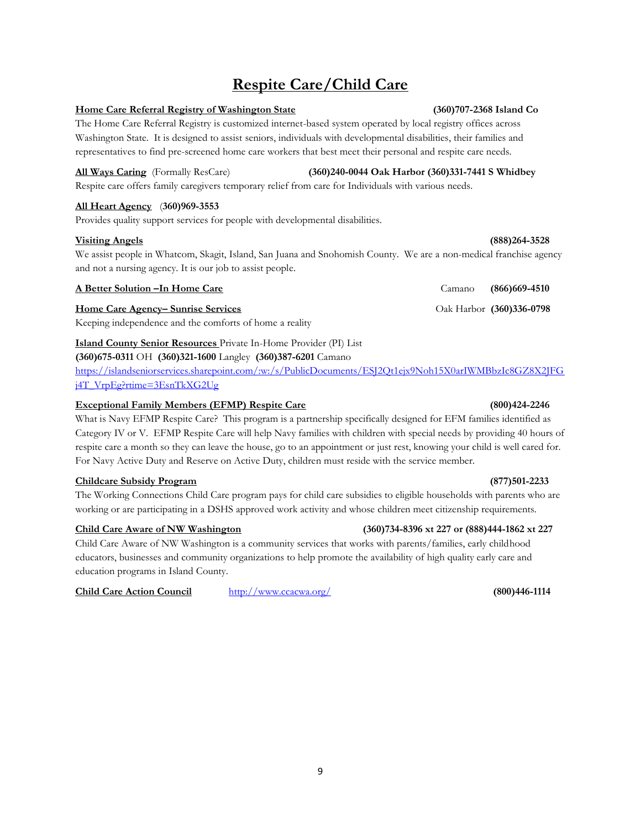# **Respite Care/Child Care**

#### **Home Care Referral Registry of Washington State (360)707-2368 Island Co**

The Home Care Referral Registry is customized internet-based system operated by local registry offices across Washington State. It is designed to assist seniors, individuals with developmental disabilities, their families and representatives to find pre-screened home care workers that best meet their personal and respite care needs.

#### **All Ways Caring** (Formally ResCare) **(360)240-0044 Oak Harbor (360)331-7441 S Whidbey**

Respite care offers family caregivers temporary relief from care for Individuals with various needs.

#### **All Heart Agency** (**360)969-3553**

Provides quality support services for people with developmental disabilities.

#### **Visiting Angels (888)264-3528**

We assist people in Whatcom, Skagit, Island, San Juana and Snohomish County. We are a non-medical franchise agency and not a nursing agency. It is our job to assist people.

#### **A Better Solution –In Home Care** Camano **(866)669-4510**

#### **Home Care Agency– Sunrise Services Care Agency– Sunrise Services Care Agency– Sunrise Services Care Agency– Sunrise Services Care Agency– Sunrise Services Care Agency– Sunrise Services Care Agency**

Keeping independence and the comforts of home a reality

### **Island County Senior Resources** Private In-Home Provider (PI) List

#### **(360)675-0311** OH **(360)321-1600** Langley **(360)387-6201** Camano

[https://islandseniorservices.sharepoint.com/:w:/s/PublicDocuments/ESJ2Qt1ejx9Noh15X0arIWMBbzIc8GZ8X2JFG](https://islandseniorservices.sharepoint.com/:w:/s/PublicDocuments/ESJ2Qt1ejx9Noh15X0arIWMBbzIc8GZ8X2JFGj4T_VrpEg?rtime=3EsnTkXG2Ug) [j4T\\_VrpEg?rtime=3EsnTkXG2Ug](https://islandseniorservices.sharepoint.com/:w:/s/PublicDocuments/ESJ2Qt1ejx9Noh15X0arIWMBbzIc8GZ8X2JFGj4T_VrpEg?rtime=3EsnTkXG2Ug)

#### **Exceptional Family Members (EFMP) Respite Care (800)424-2246**

What is Navy EFMP Respite Care? This program is a partnership specifically designed for EFM families identified as Category IV or V. EFMP Respite Care will help Navy families with children with special needs by providing 40 hours of respite care a month so they can leave the house, go to an appointment or just rest, knowing your child is well cared for. For Navy Active Duty and Reserve on Active Duty, children must reside with the service member.

#### **Childcare Subsidy Program (877)501-2233**

The Working Connections Child Care program pays for child care subsidies to eligible households with parents who are working or are participating in a DSHS approved work activity and whose children meet citizenship requirements.

#### **Child Care Aware of NW Washington (360)734-8396 xt 227 or (888)444-1862 xt 227**

Child Care Aware of NW Washington is a community services that works with parents/families, early childhood educators, businesses and community organizations to help promote the availability of high quality early care and education programs in Island County.

#### **Child Care Action Council** <http://www.ccacwa.org/>**(800)446-1114**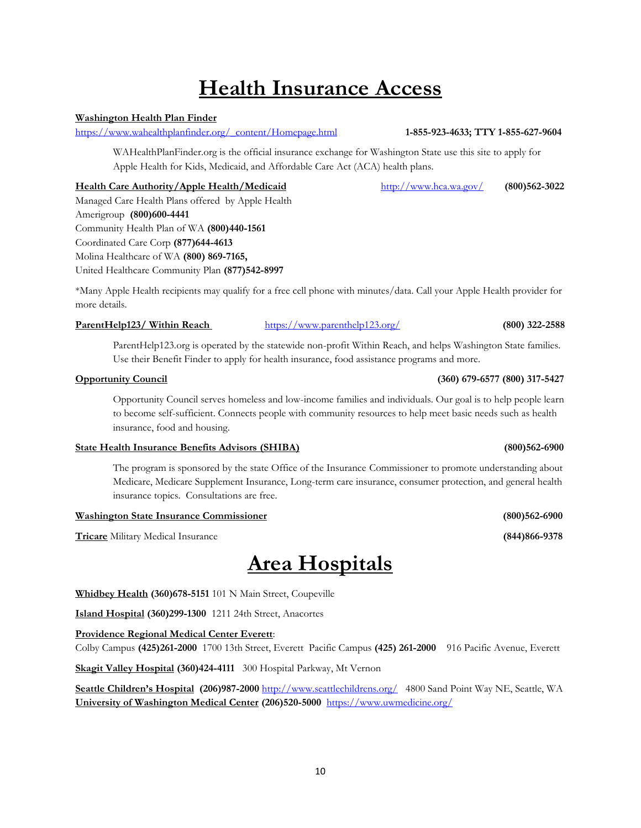# **Health Insurance Access**

### **Washington Health Plan Finder**

[https://www.wahealthplanfinder.org/\\_content/Homepage.html](https://www.wahealthplanfinder.org/_content/Homepage.html) **1-855-923-4633; TTY 1-855-627-9604**

WAHealthPlanFinder.org is the official insurance exchange for Washington State use this site to apply for Apple Health for Kids, Medicaid, and Affordable Care Act (ACA) health plans.

#### **Health Care Authority/Apple Health/Medicaid** <http://www.hca.wa.gov/>**(800)562-3022**

Managed Care Health Plans offered by Apple Health Amerigroup **(800)600-4441** Community Health Plan of WA **(800)440-1561** Coordinated Care Corp **(877)644-4613**  Molina Healthcare of WA **(800) 869-7165,**  United Healthcare Community Plan **(877)542-8997**

\*Many Apple Health recipients may qualify for a free cell phone with minutes/data. Call your Apple Health provider for more details.

#### **ParentHelp123/ Within Reach** <https://www.parenthelp123.org/>**(800) 322-2588**

ParentHelp123.org is operated by the statewide non-profit Within Reach, and helps Washington State families. Use their Benefit Finder to apply for health insurance, food assistance programs and more.

#### **Opportunity Council (360) 679-6577 (800) 317-5427**

Opportunity Council serves homeless and low-income families and individuals. Our goal is to help people learn to become self-sufficient. Connects people with community resources to help meet basic needs such as health insurance, food and housing.

#### **State Health Insurance Benefits Advisors (SHIBA) (800)562-6900**

The program is sponsored by the state Office of the Insurance Commissioner to promote understanding about Medicare, Medicare Supplement Insurance, Long-term care insurance, consumer protection, and general health insurance topics. Consultations are free.

#### **Washington State Insurance Commissioner (800)562-6900**

**Tricare** Military Medical Insurance **(844)866-9378**

# **Area Hospitals**

**Whidbey Health (360)678-5151** 101 N Main Street, Coupeville

**Island Hospital (360)299-1300** 1211 24th Street, Anacortes

**Providence Regional Medical Center Everett**:

Colby Campus **(425)261-2000** 1700 13th Street, Everett Pacific Campus **(425) 261-2000** 916 Pacific Avenue, Everett

**Skagit Valley Hospital (360)424-4111** 300 Hospital Parkway, Mt Vernon

**Seattle Children's Hospital (206)987-2000** <http://www.seattlechildrens.org/>4800 Sand Point Way NE, Seattle, WA **University of Washington Medical Center (206)520-5000** <https://www.uwmedicine.org/>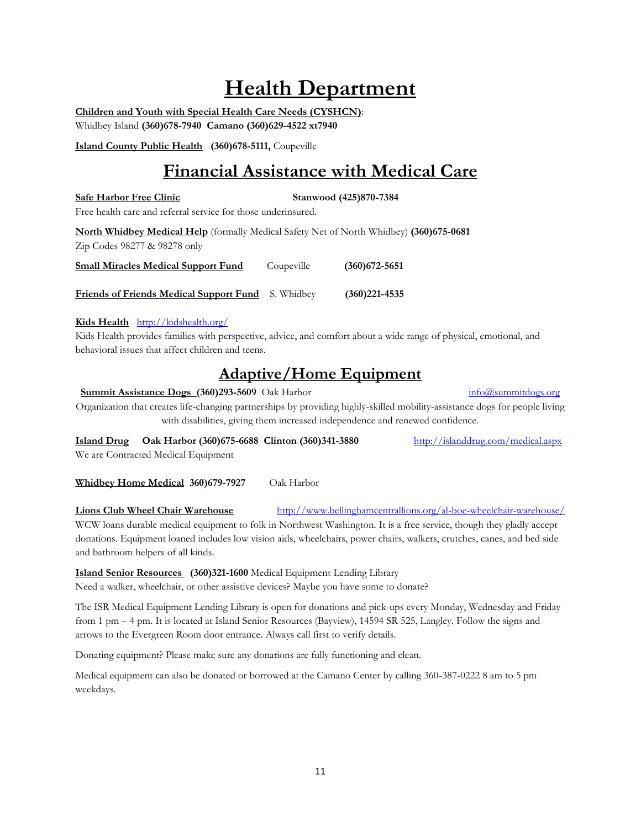# **Health Department**

**Children and Youth with Special Health Care Needs (CYSHCN)**: Whidbey Island **(360)678-7940 Camano (360)629-4522 xt7940** 

**Island County Public Health (360)678-5111,** Coupeville

# **Financial Assistance with Medical Care**

#### Safe Harbor Free Clinic Stanwood (425)870-7384

Free health care and referral service for those underinsured.

**North Whidbey Medical Help** (formally Medical Safety Net of North Whidbey) **(360)675-0681**  Zip Codes 98277 & 98278 only

| <b>Small Miracles Medical Support Fund</b> | Coupeville | $(360)672 - 5651$ |
|--------------------------------------------|------------|-------------------|
|                                            |            |                   |

**Friends of Friends Medical Support Fund** S. Whidbey **(360)221-4535**

#### **Kids Health** <http://kidshealth.org/>

Kids Health provides families with perspective, advice, and comfort about a wide range of physical, emotional, and behavioral issues that affect children and teens.

## **Adaptive/Home Equipment**

#### **Summit Assistance Dogs (360)293-5609** Oak Harbor **[info@summitdogs.org](mailto:info@summitdogs.org) info@summitdogs.org**

Organization that creates life-changing partnerships by providing highly-skilled mobility-assistance dogs for people living with disabilities, giving them increased independence and renewed confidence.

**Island Drug Oak Harbor (360)675-6688 Clinton (360)341-3880** <http://islanddrug.com/medical.aspx> We are Contracted Medical Equipment

**Whidbey Home Medical 360)679-7927** Oak Harbor

**Lions Club Wheel Chair Warehouse** <http://www.bellinghamcentrallions.org/al-boe-wheelchair-warehouse/> WCW loans durable medical equipment to folk in Northwest Washington. It is a free service, though they gladly accept donations. Equipment loaned includes low vision aids, wheelchairs, power chairs, walkers, crutches, canes, and bed side and bathroom helpers of all kinds.

**Island Senior Resources (360)321-1600** Medical Equipment Lending Library

Need a walker, wheelchair, or other assistive devices? Maybe you have some to donate?

The ISR Medical Equipment Lending Library is open for donations and pick-ups every Monday, Wednesday and Friday from 1 pm – 4 pm. It is located at Island Senior Resources (Bayview), 14594 SR 525, Langley. Follow the signs and arrows to the Evergreen Room door entrance. Always call first to verify details.

Donating equipment? Please make sure any donations are fully functioning and clean.

Medical equipment can also be donated or borrowed at the Camano Center by calling 360-387-0222 8 am to 5 pm weekdays.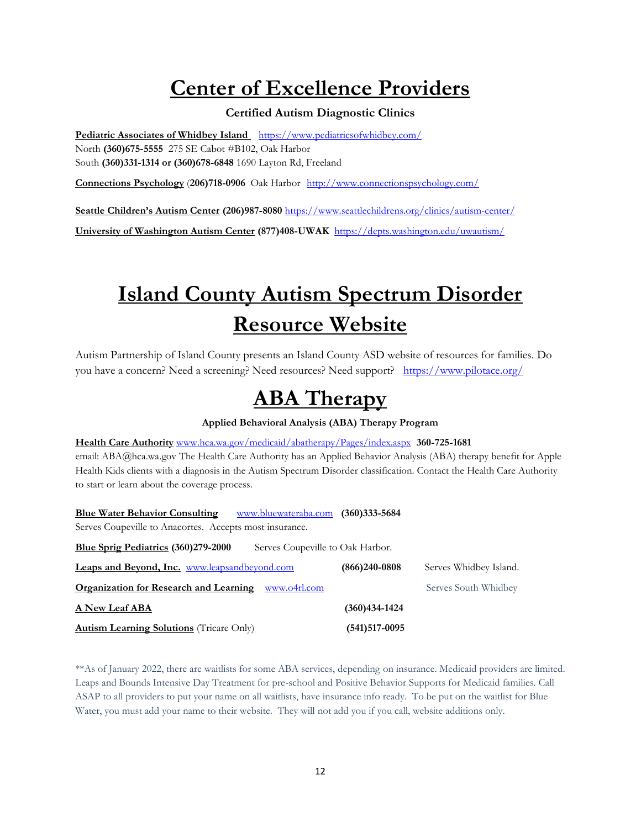# **Center of Excellence Providers**

### **Certified Autism Diagnostic Clinics**

**Pediatric Associates of Whidbey Island** <https://www.pediatricsofwhidbey.com/> North **(360)675-5555** 275 SE Cabot #B102, Oak Harbor South **(360)331-1314 or (360)678-6848** 1690 Layton Rd, Freeland

**Connections Psychology** (**206)718-0906** Oak Harbor<http://www.connectionspsychology.com/>

**Seattle Children's Autism Center (206)987-8080** <https://www.seattlechildrens.org/clinics/autism-center/>

**University of Washington Autism Center (877)408-UWAK** <https://depts.washington.edu/uwautism/>

# **Island County Autism Spectrum Disorder Resource Website**

Autism Partnership of Island County presents an Island County ASD website of resources for families. Do you have a concern? Need a screening? Need resources? Need support? <https://www.pilotace.org/>

# **ABA Therapy**

**Applied Behavioral Analysis (ABA) Therapy Program**

**Health Care Authority** [www.hca.wa.gov/medicaid/abatherapy/Pages/index.aspx](http://www.hca.wa.gov/medicaid/abatherapy/Pages/index.aspx) **360-725-1681** email: ABA@hca.wa.gov The Health Care Authority has an Applied Behavior Analysis (ABA) therapy benefit for Apple Health Kids clients with a diagnosis in the Autism Spectrum Disorder classification. Contact the Health Care Authority to start or learn about the coverage process.

**Blue Water Behavior Consulting** [www.bluewateraba.com](http://www.bluewateraba.com/) **(360)333-5684** Serves Coupeville to Anacortes. Accepts most insurance.

| <b>Blue Sprig Pediatrics (360)279-2000</b><br>Serves Coupeville to Oak Harbor. |                   |                        |
|--------------------------------------------------------------------------------|-------------------|------------------------|
| Leaps and Beyond, Inc. www.leapsandbeyond.com                                  | $(866)240-0808$   | Serves Whidbey Island. |
| <b>Organization for Research and Learning</b> www.04rl.com                     |                   | Serves South Whidbey   |
| <b>A New Leaf ABA</b>                                                          | $(360)434-1424$   |                        |
| <b>Autism Learning Solutions</b> (Tricare Only)                                | $(541)517 - 0095$ |                        |

\*\*As of January 2022, there are waitlists for some ABA services, depending on insurance. Medicaid providers are limited. Leaps and Bounds Intensive Day Treatment for pre-school and Positive Behavior Supports for Medicaid families. Call ASAP to all providers to put your name on all waitlists, have insurance info ready. To be put on the waitlist for Blue Water, you must add your name to their website. They will not add you if you call, website additions only.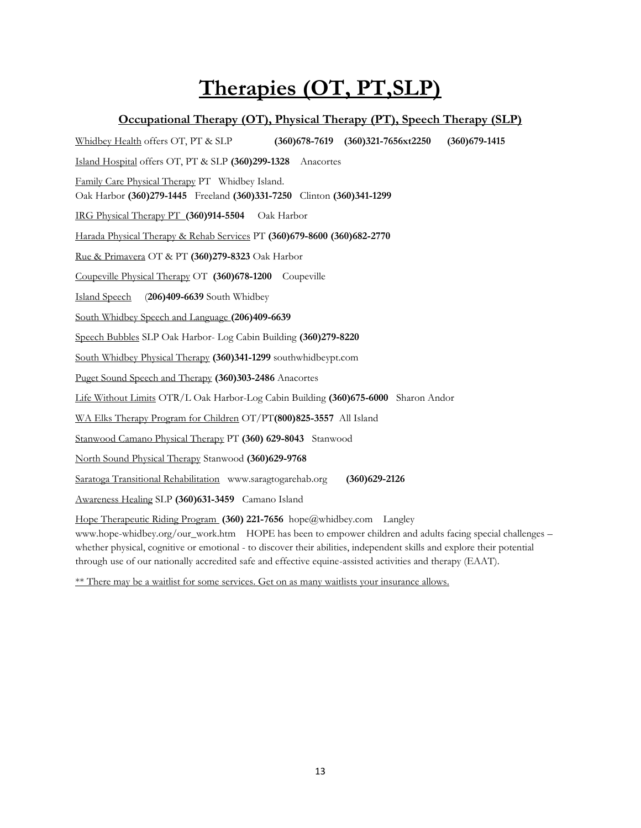# **Therapies (OT, PT,SLP)**

## **Occupational Therapy (OT), Physical Therapy (PT), Speech Therapy (SLP)**

Whidbey Health offers OT, PT & SLP **(360)678-7619 (360)321-7656xt2250 (360)679-1415** Island Hospital offers OT, PT & SLP **(360)299-1328** Anacortes Family Care Physical Therapy PT Whidbey Island. Oak Harbor **(360)279-1445** Freeland **(360)331-7250** Clinton **(360)341-1299** IRG Physical Therapy PT **(360)914-5504** Oak Harbor Harada Physical Therapy & Rehab Services PT **(360)679-8600 (360)682-2770**  Rue & Primavera OT & PT **(360)279-8323** Oak Harbor Coupeville Physical Therapy OT **(360)678-1200** Coupeville Island Speech (**206)409-6639** South Whidbey South Whidbey Speech and Language **(206)409-6639** Speech Bubbles SLP Oak Harbor- Log Cabin Building **(360)279-8220** South Whidbey Physical Therapy **(360)341-1299** southwhidbeypt.com Puget Sound Speech and Therapy **(360)303-2486** Anacortes Life Without Limits OTR/L Oak Harbor-Log Cabin Building **(360)675-6000** Sharon Andor WA Elks Therapy Program for Children OT/PT**(800)825-3557** All Island Stanwood Camano Physical Therapy PT **(360) 629-8043** Stanwood North Sound Physical Therapy Stanwood **(360)629-9768** Saratoga Transitional Rehabilitation www.saragtogarehab.org **(360)629-2126** Awareness Healing SLP **(360)631-3459** Camano Island

Hope Therapeutic Riding Program **(360) 221-7656** hope@whidbey.com Langley

www.hope-whidbey.org/our\_work.htm HOPE has been to empower children and adults facing special challenges – whether physical, cognitive or emotional - to discover their abilities, independent skills and explore their potential through use of our nationally accredited safe and effective equine-assisted activities and therapy (EAAT).

\*\* There may be a waitlist for some services. Get on as many waitlists your insurance allows.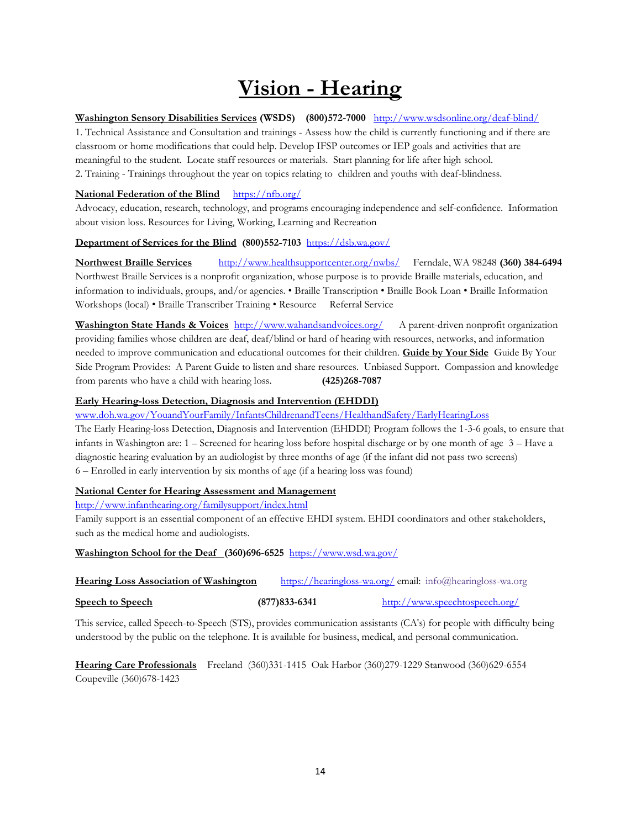# **Vision - Hearing**

#### **Washington Sensory Disabilities Services (WSDS) (800)572-7000** <http://www.wsdsonline.org/deaf-blind/>

1. Technical Assistance and Consultation and trainings - Assess how the child is currently functioning and if there are classroom or home modifications that could help. Develop IFSP outcomes or IEP goals and activities that are meaningful to the student. Locate staff resources or materials. Start planning for life after high school. 2. Training - Trainings throughout the year on topics relating to children and youths with deaf-blindness.

#### **National Federation of the Blind** <https://nfb.org/>

Advocacy, education, research, technology, and programs encouraging independence and self-confidence. Information about vision loss. Resources for Living, Working, Learning and Recreation

#### **Department of Services for the Blind (800)552-7103** <https://dsb.wa.gov/>

**Northwest Braille Services** <http://www.healthsupportcenter.org/nwbs/>Ferndale, WA 98248 **(360) 384-6494**  Northwest Braille Services is a nonprofit organization, whose purpose is to provide Braille materials, education, and information to individuals, groups, and/or agencies. • Braille Transcription • Braille Book Loan • Braille Information Workshops (local) • Braille Transcriber Training • Resource Referral Service

**Washington State Hands & Voices** <http://www.wahandsandvoices.org/> A parent-driven nonprofit organization providing families whose children are deaf, deaf/blind or hard of hearing with resources, networks, and information needed to improve communication and educational outcomes for their children. **Guide by Your Side** Guide By Your Side Program Provides: A Parent Guide to listen and share resources. Unbiased Support. Compassion and knowledge from parents who have a child with hearing loss. **(425)268-7087**

#### **Early Hearing-loss Detection, Diagnosis and Intervention (EHDDI)**

[www.doh.wa.gov/YouandYourFamily/InfantsChildrenandTeens/HealthandSafety/EarlyHearingLoss](http://www.doh.wa.gov/YouandYourFamily/InfantsChildrenandTeens/HealthandSafety/EarlyHearingLoss) 

The Early Hearing-loss Detection, Diagnosis and Intervention (EHDDI) Program follows the 1-3-6 goals, to ensure that infants in Washington are: 1 – Screened for hearing loss before hospital discharge or by one month of age 3 – Have a diagnostic hearing evaluation by an audiologist by three months of age (if the infant did not pass two screens) 6 – Enrolled in early intervention by six months of age (if a hearing loss was found)

#### **National Center for Hearing Assessment and Management**

<http://www.infanthearing.org/familysupport/index.html>

Family support is an essential component of an effective EHDI system. EHDI coordinators and other stakeholders, such as the medical home and audiologists.

**Washington School for the Deaf (360)696-6525** <https://www.wsd.wa.gov/>

| <b>Hearing Loss Association of Washington</b> | https://hearingloss-wa.org/email: info@hearingloss-wa.org |  |  |
|-----------------------------------------------|-----------------------------------------------------------|--|--|
|                                               |                                                           |  |  |

**Speech to Speech (877)833-6341** <http://www.speechtospeech.org/>

This service, called Speech-to-Speech (STS), provides communication assistants (CA's) for people with difficulty being understood by the public on the telephone. It is available for business, medical, and personal communication.

**Hearing Care Professionals** Freeland (360)331-1415 Oak Harbor (360)279-1229 Stanwood (360)629-6554 Coupeville (360)678-1423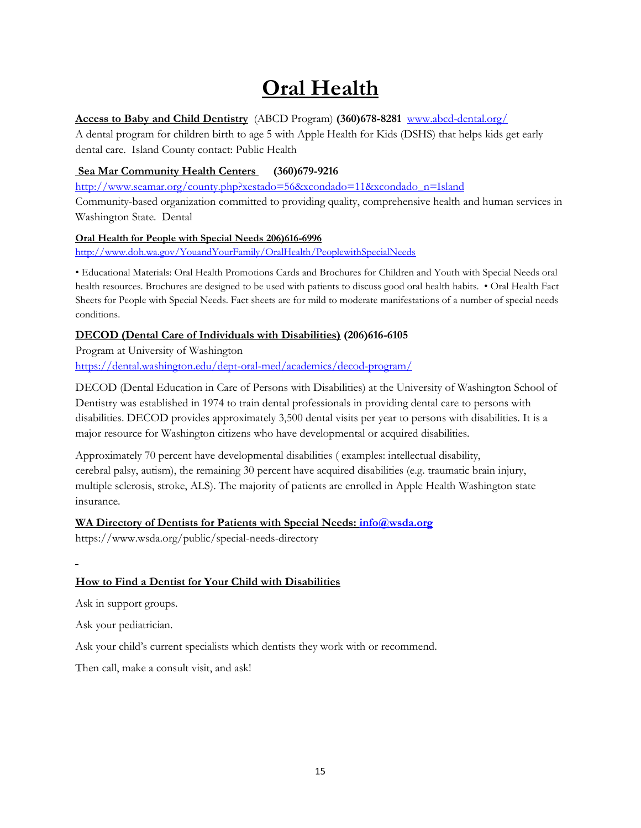# **Oral Health**

### **Access to Baby and Child Dentistry** (ABCD Program) **(360)678-8281** [www.abcd-dental.org/](http://www.abcd-dental.org/)

A dental program for children birth to age 5 with Apple Health for Kids (DSHS) that helps kids get early dental care. Island County contact: Public Health

### **Sea Mar Community Health Centers (360)679-9216**

[http://www.seamar.org/county.php?xestado=56&xcondado=11&xcondado\\_n=Island](http://www.seamar.org/county.php?xestado=56&xcondado=11&xcondado_n=Island) 

Community-based organization committed to providing quality, comprehensive health and human services in Washington State. Dental

### **Oral Health for People with Special Needs 206)616-6996**

<http://www.doh.wa.gov/YouandYourFamily/OralHealth/PeoplewithSpecialNeeds>

• Educational Materials: Oral Health Promotions Cards and Brochures for Children and Youth with Special Needs oral health resources. Brochures are designed to be used with patients to discuss good oral health habits. • Oral Health Fact Sheets for People with Special Needs. Fact sheets are for mild to moderate manifestations of a number of special needs conditions.

### **DECOD (Dental Care of Individuals with Disabilities) (206)616-6105**

Program at University of Washington <https://dental.washington.edu/dept-oral-med/academics/decod-program/>

DECOD (Dental Education in Care of Persons with Disabilities) at the University of Washington School of Dentistry was established in 1974 to train dental professionals in providing dental care to persons with disabilities. DECOD provides approximately 3,500 dental visits per year to persons with disabilities. It is a major resource for Washington citizens who have developmental or acquired disabilities.

Approximately 70 percent have developmental disabilities ( examples: intellectual disability, cerebral palsy, autism), the remaining 30 percent have acquired disabilities (e.g. traumatic brain injury, multiple sclerosis, stroke, ALS). The majority of patients are enrolled in Apple Health Washington state insurance.

### WA Directory of Dentists for Patients with Special Needs:  $info@wsda.org$

https://www.wsda.org/public/special-needs-directory

## **How to Find a Dentist for Your Child with Disabilities**

Ask in support groups.

Ask your pediatrician.

Ask your child's current specialists which dentists they work with or recommend.

Then call, make a consult visit, and ask!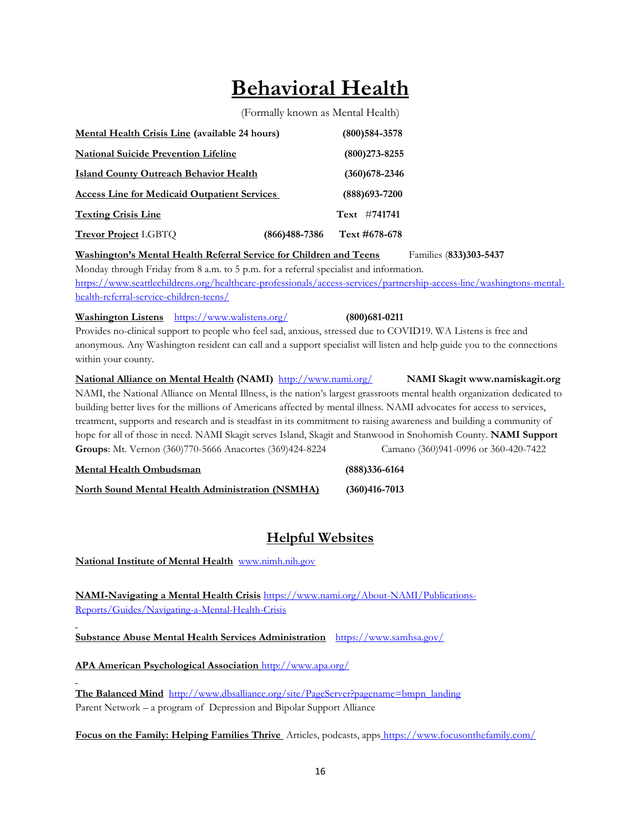# **Behavioral Health**

(Formally known as Mental Health)

| <b>Mental Health Crisis Line (available 24 hours)</b> |               | $(800)$ 584-3578  |
|-------------------------------------------------------|---------------|-------------------|
| <b>National Suicide Prevention Lifeline</b>           |               | $(800)273 - 8255$ |
| <b>Island County Outreach Behavior Health</b>         |               | $(360)$ 678-2346  |
| <b>Access Line for Medicaid Outpatient Services</b>   |               | $(888)693 - 7200$ |
| <b>Texting Crisis Line</b>                            |               | Text #741741      |
| <b>Trevor Project LGBTQ</b>                           | (866)488-7386 | Text #678-678     |

**Washington's Mental Health Referral Service for Children and Teens** Families (**833)303-5437** Monday through Friday from 8 a.m. to 5 p.m. for a referral specialist and information. [https://www.seattlechildrens.org/healthcare-professionals/access-services/partnership-access-line/washingtons-mental](https://www.seattlechildrens.org/healthcare-professionals/access-services/partnership-access-line/washingtons-mental-health-referral-service-children-teens/)[health-referral-service-children-teens/](https://www.seattlechildrens.org/healthcare-professionals/access-services/partnership-access-line/washingtons-mental-health-referral-service-children-teens/) 

**Washington Listens** <https://www.walistens.org/> **(800)681-0211** Provides no-clinical support to people who feel sad, anxious, stressed due to COVID19. WA Listens is free and anonymous. Any Washington resident can call and a support specialist will listen and help guide you to the connections within your county.

**National Alliance on Mental Health (NAMI)** <http://www.nami.org/> **NAMI Skagit www.namiskagit.org**  NAMI, the National Alliance on Mental Illness, is the nation's largest grassroots mental health organization dedicated to building better lives for the millions of Americans affected by mental illness. NAMI advocates for access to services, treatment, supports and research and is steadfast in its commitment to raising awareness and building a community of hope for all of those in need. NAMI Skagit serves Island, Skagit and Stanwood in Snohomish County. **NAMI Support Groups**: Mt. Vernon (360)770-5666 Anacortes (369)424-8224 Camano (360)941-0996 or 360-420-7422

**Mental Health Ombudsman (888)336-6164 North Sound Mental Health Administration (NSMHA) (360)416-7013**

## **Helpful Websites**

**National Institute of Mental Health** [www.nimh.nih.gov](http://www.nimh.nih.gov/)

**NAMI-Navigating a Mental Health Crisis** [https://www.nami.org/About-NAMI/Publications-](https://www.nami.org/About-NAMI/Publications-Reports/Guides/Navigating-a-Mental-Health-Crisis)[Reports/Guides/Navigating-a-Mental-Health-Crisis](https://www.nami.org/About-NAMI/Publications-Reports/Guides/Navigating-a-Mental-Health-Crisis)

**Substance Abuse Mental Health Services Administration** <https://www.samhsa.gov/>

**APA American Psychological Association** <http://www.apa.org/>

**The Balanced Mind** [http://www.dbsalliance.org/site/PageServer?pagename=bmpn\\_landing](http://www.dbsalliance.org/site/PageServer?pagename=bmpn_landing) Parent Network – a program of Depression and Bipolar Support Alliance

**Focus on the Family: Helping Families Thrive** Articles, podcasts, apps <https://www.focusonthefamily.com/>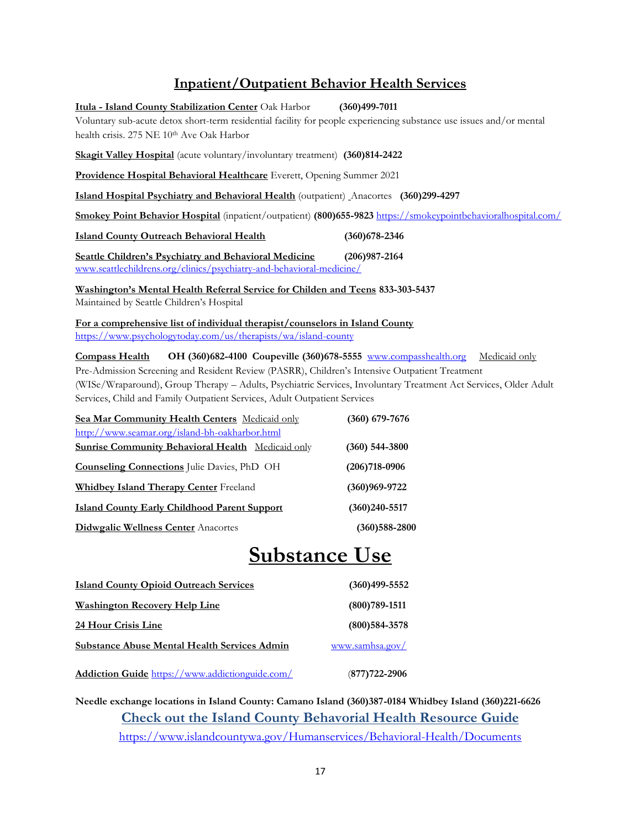## **Inpatient/Outpatient Behavior Health Services**

**Itula - Island County Stabilization Center** Oak Harbor **(360)499-7011** Voluntary sub-acute detox short-term residential facility for people experiencing substance use issues and/or mental health crisis. 275 NE 10th Ave Oak Harbor **Skagit Valley Hospital** (acute voluntary/involuntary treatment) **(360)814-2422 Providence Hospital Behavioral Healthcare** Everett, Opening Summer 2021 **Island Hospital Psychiatry and Behavioral Health** (outpatient) Anacortes **(360)299-4297 Smokey Point Behavior Hospital** (inpatient/outpatient) **(800)655-9823** <https://smokeypointbehavioralhospital.com/> **Island County Outreach Behavioral Health (360)678-2346 Seattle Children's Psychiatry and Behavioral Medicine (206)987-2164** [www.seattlechildrens.org/clinics/psychiatry-and-behavioral-medicine/](http://www.seattlechildrens.org/clinics/psychiatry-and-behavioral-medicine/)  **Washington's Mental Health Referral Service for Childen and Teens 833-303-5437** Maintained by Seattle Children's Hospital **For a comprehensive list of individual therapist/counselors in Island County**  <https://www.psychologytoday.com/us/therapists/wa/island-county>

**Compass Health OH (360)682-4100 Coupeville (360)678-5555** [www.compasshealth.org](http://www.compasshealth.org/)Medicaid only Pre-Admission Screening and Resident Review (PASRR), Children's Intensive Outpatient Treatment (WISe/Wraparound), Group Therapy – Adults, Psychiatric Services, Involuntary Treatment Act Services, Older Adult Services, Child and Family Outpatient Services, Adult Outpatient Services

| Sea Mar Community Health Centers Medicaid only           | $(360)$ 679-7676  |
|----------------------------------------------------------|-------------------|
| http://www.seamar.org/island-bh-oakharbor.html           |                   |
| <b>Sunrise Community Behavioral Health</b> Medicaid only | $(360)$ 544-3800  |
| <b>Counseling Connections</b> Julie Davies, PhD OH       | $(206)718-0906$   |
| <b>Whidbey Island Therapy Center Freeland</b>            | $(360)969 - 9722$ |
| <b>Island County Early Childhood Parent Support</b>      | $(360)240 - 5517$ |
| <b>Didwgalic Wellness Center Anacortes</b>               | $(360)588 - 2800$ |

# **Substance Use**

| <b>Island County Opioid Outreach Services</b>       | $(360)$ 499-5552  |
|-----------------------------------------------------|-------------------|
| <b>Washington Recovery Help Line</b>                | $(800)789 - 1511$ |
| 24 Hour Crisis Line                                 | $(800)$ 584-3578  |
| <b>Substance Abuse Mental Health Services Admin</b> | www.samhsa.gov/   |
| Addiction Guide https://www.addictionguide.com/     | (877) 722-2906    |

**Needle exchange locations in Island County: Camano Island (360)387-0184 Whidbey Island (360)221-6626 Check out the Island County Behavorial Health Resource Guide**  <https://www.islandcountywa.gov/Humanservices/Behavioral-Health/Documents>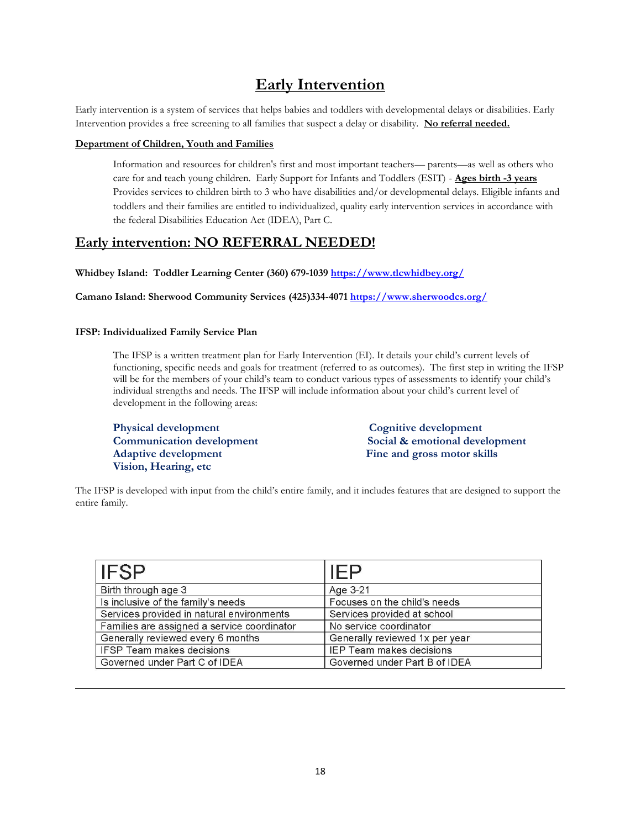# **Early Intervention**

Early intervention is a system of services that helps babies and toddlers with developmental delays or disabilities. Early Intervention provides a free screening to all families that suspect a delay or disability. **No referral needed.**

#### **Department of Children, Youth and Families**

Information and resources for children's first and most important teachers— parents—as well as others who care for and teach young children. Early Support for Infants and Toddlers (ESIT) - **Ages birth -3 years** Provides services to children birth to 3 who have disabilities and/or developmental delays. Eligible infants and toddlers and their families are entitled to individualized, quality early intervention services in accordance with the federal Disabilities Education Act (IDEA), Part C.

## **Early intervention: NO REFERRAL NEEDED!**

**Whidbey Island: Toddler Learning Center (360) 679-1039 <https://www.tlcwhidbey.org/>**

**Camano Island: Sherwood Community Services (425)334-4071 <https://www.sherwoodcs.org/>**

#### **IFSP: Individualized Family Service Plan**

The IFSP is a written treatment plan for Early Intervention (EI). It details your child's current levels of functioning, specific needs and goals for treatment (referred to as outcomes). The first step in writing the IFSP will be for the members of your child's team to conduct various types of assessments to identify your child's individual strengths and needs. The IFSP will include information about your child's current level of development in the following areas:

**Physical development Cognitive development** Adaptive development Fine and gross motor skills **Vision, Hearing, etc** 

**Communication development Social & emotional development** 

The IFSP is developed with input from the child's entire family, and it includes features that are designed to support the entire family.

| <b>IFSP</b>                                 | <b>IEP</b>                      |
|---------------------------------------------|---------------------------------|
| Birth through age 3                         | Age 3-21                        |
| Is inclusive of the family's needs          | Focuses on the child's needs    |
| Services provided in natural environments   | Services provided at school     |
| Families are assigned a service coordinator | No service coordinator          |
| Generally reviewed every 6 months           | Generally reviewed 1x per year  |
| <b>IFSP Team makes decisions</b>            | <b>IEP Team makes decisions</b> |
| Governed under Part C of IDEA               | Governed under Part B of IDEA   |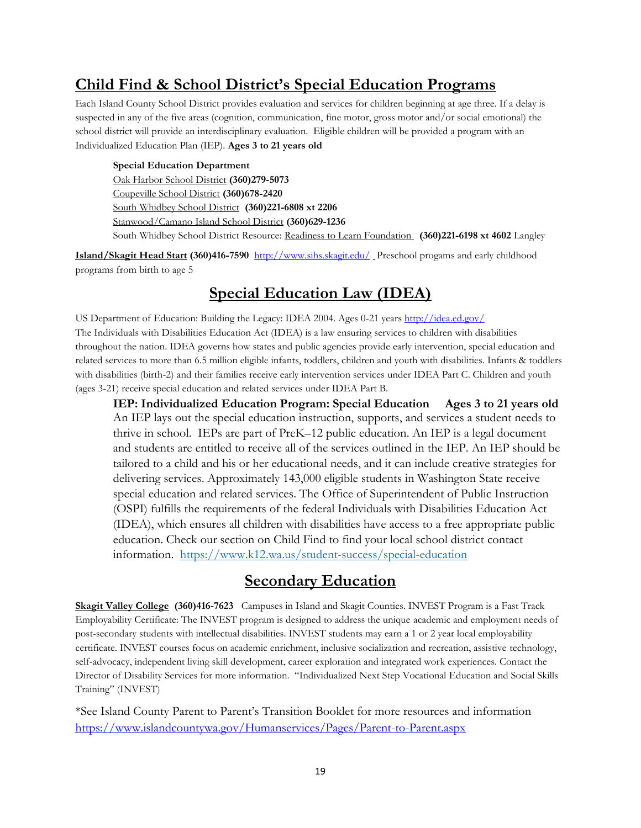# **Child Find & School District's Special Education Programs**

Each Island County School District provides evaluation and services for children beginning at age three. If a delay is suspected in any of the five areas (cognition, communication, fine motor, gross motor and/or social emotional) the school district will provide an interdisciplinary evaluation. Eligible children will be provided a program with an Individualized Education Plan (IEP). **Ages 3 to 21 years old**

**Special Education Department**  Oak Harbor School District **(360)279-5073** Coupeville School District **(360)678-2420** South Whidbey School District **(360)221-6808 xt 2206** Stanwood/Camano Island School District **(360)629-1236**  South Whidbey School District Resource: Readiness to Learn Foundation **(360)221-6198 xt 4602** Langley

**Island/Skagit Head Start (360)416-7590** <http://www.sihs.skagit.edu/> Preschool progams and early childhood programs from birth to age 5

## **Special Education Law (IDEA)**

US Department of Education: Building the Legacy: IDEA 2004. Ages 0-21 years<http://idea.ed.gov/> The Individuals with Disabilities Education Act (IDEA) is a law ensuring services to children with disabilities throughout the nation. IDEA governs how states and public agencies provide early intervention, special education and related services to more than 6.5 million eligible infants, toddlers, children and youth with disabilities. Infants & toddlers with disabilities (birth-2) and their families receive early intervention services under IDEA Part C. Children and youth (ages 3-21) receive special education and related services under IDEA Part B.

**IEP: Individualized Education Program: Special Education Ages 3 to 21 years old**  An IEP lays out the special education instruction, supports, and services a student needs to thrive in school. IEPs are part of PreK–12 public education. An IEP is a legal document and students are entitled to receive all of the services outlined in the IEP. An IEP should be tailored to a child and his or her educational needs, and it can include creative strategies for delivering services. Approximately 143,000 eligible students in Washington State receive special education and related services. The Office of Superintendent of Public Instruction (OSPI) fulfills the requirements of the federal Individuals with Disabilities Education Act (IDEA), which ensures all children with disabilities have access to a free appropriate public education. Check our section on Child Find to find your local school district contact information. <https://www.k12.wa.us/student-success/special-education>

## **Secondary Education**

**Skagit Valley College (360)416-7623** Campuses in Island and Skagit Counties. INVEST Program is a Fast Track Employability Certificate: The INVEST program is designed to address the unique academic and employment needs of post-secondary students with intellectual disabilities. INVEST students may earn a 1 or 2 year local employability certificate. INVEST courses focus on academic enrichment, inclusive socialization and recreation, assistive technology, self-advocacy, independent living skill development, career exploration and integrated work experiences. Contact the Director of Disability Services for more information. "Individualized Next Step Vocational Education and Social Skills Training" (INVEST)

\*See Island County Parent to Parent's Transition Booklet for more resources and information <https://www.islandcountywa.gov/Humanservices/Pages/Parent-to-Parent.aspx>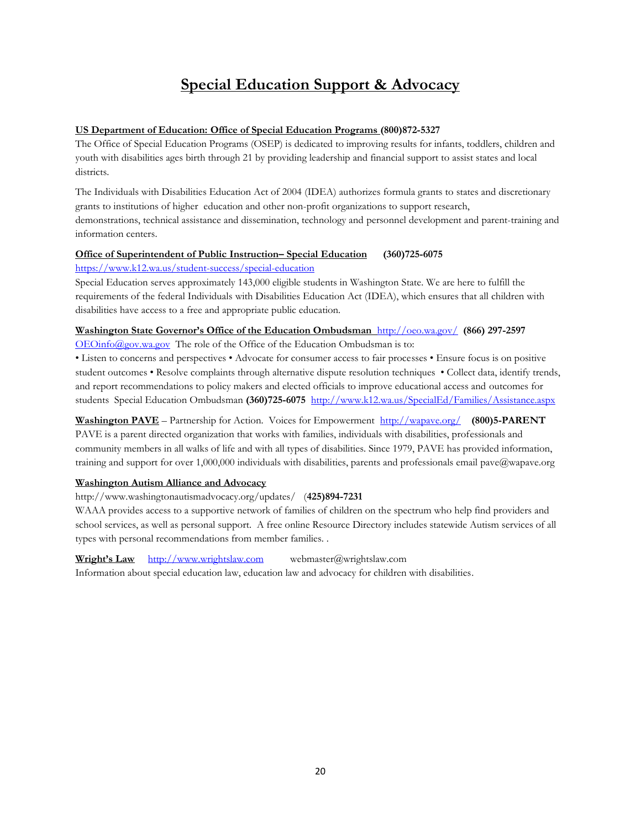# **Special Education Support & Advocacy**

#### **US Department of Education: Office of Special Education Programs (800)872-5327**

The Office of Special Education Programs (OSEP) is dedicated to improving results for infants, toddlers, children and youth with disabilities ages birth through 21 by providing leadership and financial support to assist states and local districts.

The Individuals with Disabilities Education Act of 2004 (IDEA) authorizes formula grants to states and discretionary grants to institutions of higher education and other non-profit organizations to support research, demonstrations, technical assistance and dissemination, technology and personnel development and parent-training and information centers.

#### **Office of Superintendent of Public Instruction– Special Education (360)725-6075**  <https://www.k12.wa.us/student-success/special-education>

Special Education serves approximately 143,000 eligible students in Washington State. We are here to fulfill the requirements of the federal Individuals with Disabilities Education Act (IDEA), which ensures that all children with disabilities have access to a free and appropriate public education.

# **Washington State Governor's Office of the Education Ombudsman** <http://oeo.wa.gov/>**(866) 297-2597**

[OEOinfo@gov.wa.gov](mailto:OEOinfo@gov.wa.gov) The role of the Office of the Education Ombudsman is to:

• Listen to concerns and perspectives • Advocate for consumer access to fair processes • Ensure focus is on positive student outcomes • Resolve complaints through alternative dispute resolution techniques • Collect data, identify trends, and report recommendations to policy makers and elected officials to improve educational access and outcomes for students Special Education Ombudsman **(360)725-6075** <http://www.k12.wa.us/SpecialEd/Families/Assistance.aspx>

**Washington PAVE** – Partnership for Action. Voices for Empowerment <http://wapave.org/>**(800)5-PARENT**  PAVE is a parent directed organization that works with families, individuals with disabilities, professionals and community members in all walks of life and with all types of disabilities. Since 1979, PAVE has provided information, training and support for over 1,000,000 individuals with disabilities, parents and professionals email pave@wapave.org

#### **Washington Autism Alliance and Advocacy**

http://www.washingtonautismadvocacy.org/updates/ (**425)894-7231**

WAAA provides access to a supportive network of families of children on the spectrum who help find providers and school services, as well as personal support. A free online Resource Directory includes statewide Autism services of all types with personal recommendations from member families. .

**Wright's Law** [http://www.wrightslaw.com](http://www.wrightslaw.com/) webmaster@wrightslaw.com

Information about special education law, education law and advocacy for children with disabilities.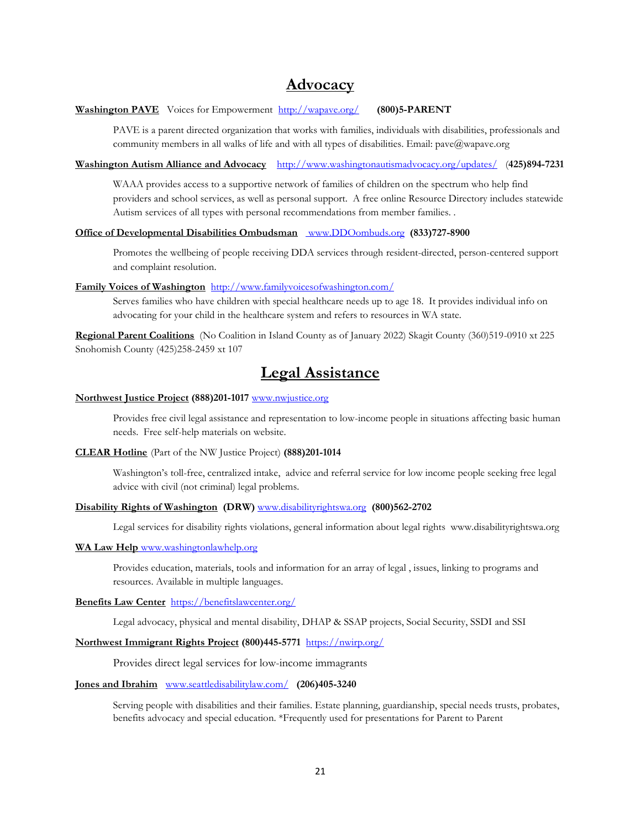## **Advocacy**

#### **Washington PAVE** Voices for Empowerment <http://wapave.org/>**(800)5-PARENT**

PAVE is a parent directed organization that works with families, individuals with disabilities, professionals and community members in all walks of life and with all types of disabilities. Email: pave@wapave.org

#### **Washington Autism Alliance and Advocacy** <http://www.washingtonautismadvocacy.org/updates/>(**425)894-7231**

WAAA provides access to a supportive network of families of children on the spectrum who help find providers and school services, as well as personal support. A free online Resource Directory includes statewide Autism services of all types with personal recommendations from member families. .

#### **Office of Developmental Disabilities Ombudsman** [www.DDOombuds.org](%20www.DDOombuds.org) **(833)727-8900**

Promotes the wellbeing of people receiving DDA services through resident-directed, person-centered support and complaint resolution.

#### **Family Voices of Washington** <http://www.familyvoicesofwashington.com/>

Serves families who have children with special healthcare needs up to age 18. It provides individual info on advocating for your child in the healthcare system and refers to resources in WA state.

**Regional Parent Coalitions** (No Coalition in Island County as of January 2022) Skagit County (360)519-0910 xt 225 Snohomish County (425)258-2459 xt 107

## **Legal Assistance**

#### **Northwest Justice Project (888)201-1017** <www.nwjustice.org>

Provides free civil legal assistance and representation to low-income people in situations affecting basic human needs. Free self-help materials on website.

#### **CLEAR Hotline** (Part of the NW Justice Project) **(888)201-1014**

Washington's toll-free, centralized intake, advice and referral service for low income people seeking free legal advice with civil (not criminal) legal problems.

#### **Disability Rights of Washington (DRW)** <www.disabilityrightswa.org>**(800)562-2702**

Legal services for disability rights violations, general information about legal rights www.disabilityrightswa.org

#### **WA Law Help** [www.washingtonlawhelp.org](%20www.washingtonlawhelp.org%20)

Provides education, materials, tools and information for an array of legal , issues, linking to programs and resources. Available in multiple languages.

#### **Benefits Law Center** <https://benefitslawcenter.org/>

Legal advocacy, physical and mental disability, DHAP & SSAP projects, Social Security, SSDI and SSI

#### **Northwest Immigrant Rights Project (800)445-5771** <https://nwirp.org/>

Provides direct legal services for low-income immagrants

#### **Jones and Ibrahim** [www.seattledisabilitylaw.com/](https://seattledisabilitylaw.com/) **(206)405-3240**

Serving people with disabilities and their families. Estate planning, guardianship, special needs trusts, probates, benefits advocacy and special education. \*Frequently used for presentations for Parent to Parent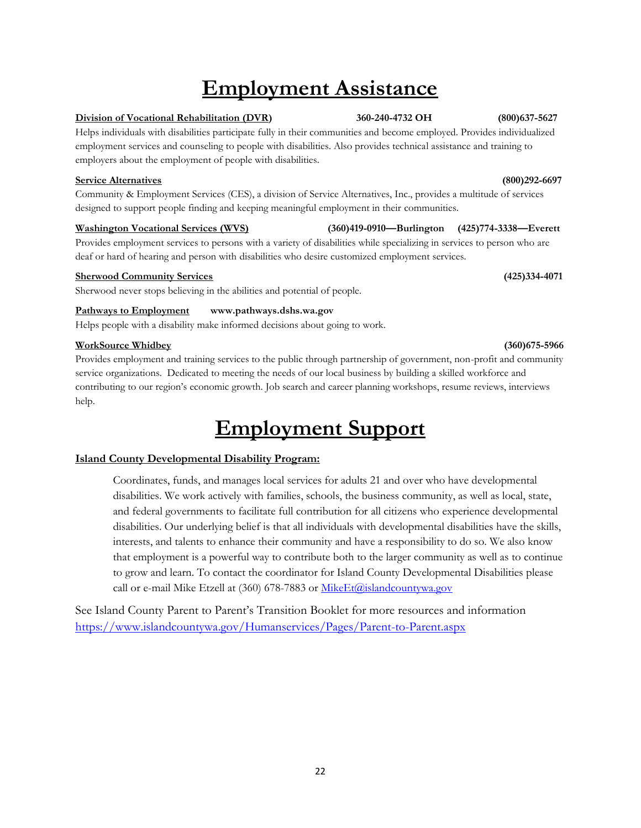# **Employment Assistance**

#### **Division of Vocational Rehabilitation (DVR) 360-240-4732 OH (800)637-5627**

Helps individuals with disabilities participate fully in their communities and become employed. Provides individualized employment services and counseling to people with disabilities. Also provides technical assistance and training to employers about the employment of people with disabilities.

#### **Service Alternatives (800)292-6697**

Community & Employment Services (CES), a division of Service Alternatives, Inc., provides a multitude of services designed to support people finding and keeping meaningful employment in their communities.

#### **Washington Vocational Services (WVS) (360)419-0910—Burlington (425)774-3338—Everett**

Provides employment services to persons with a variety of disabilities while specializing in services to person who are deaf or hard of hearing and person with disabilities who desire customized employment services.

#### **Sherwood Community Services (425)334-4071**

Sherwood never stops believing in the abilities and potential of people.

#### Pathways to Employment www.pathways.dshs.wa.gov

Helps people with a disability make informed decisions about going to work.

#### **WorkSource Whidbey (360)675-5966**

Provides employment and training services to the public through partnership of government, non-profit and community service organizations. Dedicated to meeting the needs of our local business by building a skilled workforce and contributing to our region's economic growth. Job search and career planning workshops, resume reviews, interviews help.

# **Employment Support**

#### **Island County Developmental Disability Program:**

Coordinates, funds, and manages local services for adults 21 and over who have developmental disabilities. We work actively with families, schools, the business community, as well as local, state, and federal governments to facilitate full contribution for all citizens who experience developmental disabilities. Our underlying belief is that all individuals with developmental disabilities have the skills, interests, and talents to enhance their community and have a responsibility to do so. We also know that employment is a powerful way to contribute both to the larger community as well as to continue to grow and learn. To contact the coordinator for Island County Developmental Disabilities please call or e-mail Mike Etzell at (360) 678-7883 o[r MikeEt@islandcountywa.gov](mailto:MikeEt@islandcountywa.gov)

See Island County Parent to Parent's Transition Booklet for more resources and information <https://www.islandcountywa.gov/Humanservices/Pages/Parent-to-Parent.aspx>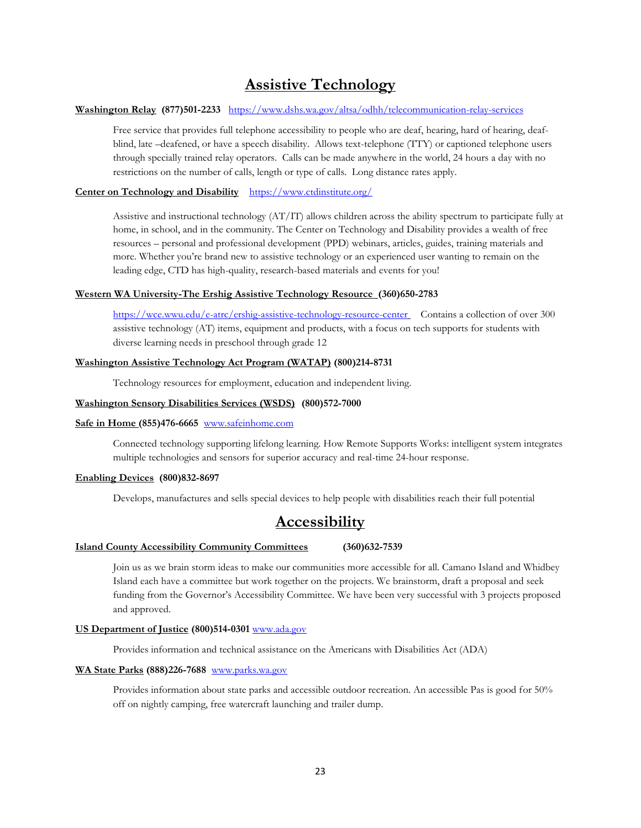# **Assistive Technology**

#### **Washington Relay (877)501-2233** <https://www.dshs.wa.gov/altsa/odhh/telecommunication-relay-services>

Free service that provides full telephone accessibility to people who are deaf, hearing, hard of hearing, deafblind, late –deafened, or have a speech disability. Allows text-telephone (TTY) or captioned telephone users through specially trained relay operators. Calls can be made anywhere in the world, 24 hours a day with no restrictions on the number of calls, length or type of calls. Long distance rates apply.

#### **Center on Technology and Disability** <https://www.ctdinstitute.org/>

Assistive and instructional technology (AT/IT) allows children across the ability spectrum to participate fully at home, in school, and in the community. The Center on Technology and Disability provides a wealth of free resources – personal and professional development (PPD) webinars, articles, guides, training materials and more. Whether you're brand new to assistive technology or an experienced user wanting to remain on the leading edge, CTD has high-quality, research-based materials and events for you!

#### **Western WA University-The Ershig Assistive Technology Resource (360)650-2783**

<https://wce.wwu.edu/e-atrc/ershig-assistive-technology-resource-center> Contains a collection of over 300 assistive technology (AT) items, equipment and products, with a focus on tech supports for students with diverse learning needs in preschool through grade 12

#### **Washington Assistive Technology Act Program (WATAP) (800)214-8731**

Technology resources for employment, education and independent living.

#### **Washington Sensory Disabilities Services (WSDS) (800)572-7000**

#### **Safe in Home (855)476-6665** [www.safeinhome.com](http://www.safeinhome.com/)

Connected technology supporting lifelong learning. How Remote Supports Works: intelligent system integrates multiple technologies and sensors for superior accuracy and real-time 24-hour response.

#### **Enabling Devices (800)832-8697**

Develops, manufactures and sells special devices to help people with disabilities reach their full potential

# **Accessibility**

#### **Island County Accessibility Community Committees (360)632-7539**

Join us as we brain storm ideas to make our communities more accessible for all. Camano Island and Whidbey Island each have a committee but work together on the projects. We brainstorm, draft a proposal and seek funding from the Governor's Accessibility Committee. We have been very successful with 3 projects proposed and approved.

#### **US Department of Justice (800)514-0301** [www.ada.gov](file://///canvcshs/Humanservices/common/P2P/www.ada.gov)

Provides information and technical assistance on the Americans with Disabilities Act (ADA)

#### **WA State Parks (888)226-7688** <www.parks.wa.gov>

Provides information about state parks and accessible outdoor recreation. An accessible Pas is good for 50% off on nightly camping, free watercraft launching and trailer dump.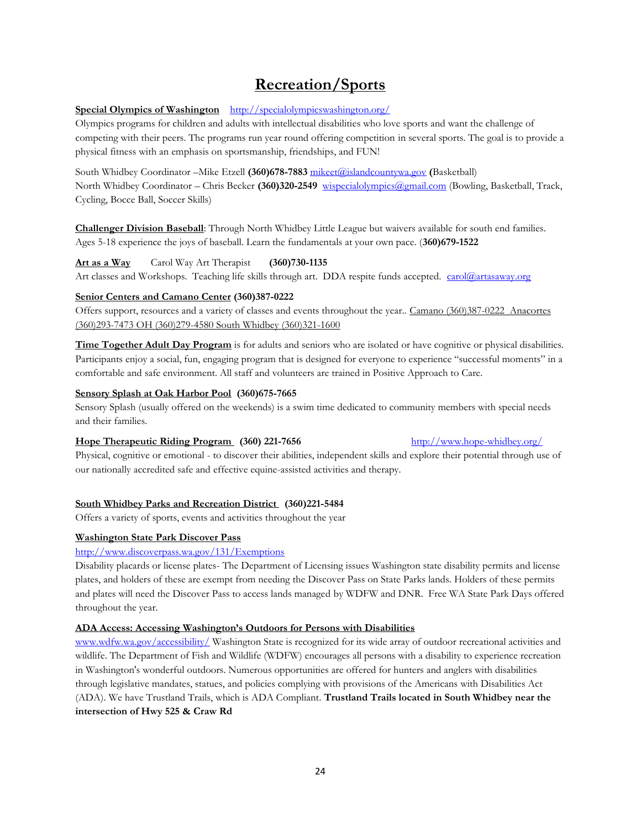# **Recreation/Sports**

#### **Special Olympics of Washington** <http://specialolympicswashington.org/>

Olympics programs for children and adults with intellectual disabilities who love sports and want the challenge of competing with their peers. The programs run year round offering competition in several sports. The goal is to provide a physical fitness with an emphasis on sportsmanship, friendships, and FUN!

South Whidbey Coordinator –Mike Etzell **(360)678-7883** [mikeet@islandcountywa.gov](mailto:mikeet@islandcountywa.gov) **(**Basketball) North Whidbey Coordinator – Chris Becker **(360)320-2549** [wispecialolympics@gmail.com](mailto:wispecialolympics@gmail.com) (Bowling, Basketball, Track, Cycling, Bocce Ball, Soccer Skills)

**Challenger Division Baseball**: Through North Whidbey Little League but waivers available for south end families. Ages 5-18 experience the joys of baseball. Learn the fundamentals at your own pace. (**360)679-1522**

#### **Art as a Way** Carol Way Art Therapist **(360)730-1135**

Art classes and Workshops. Teaching life skills through art. DDA respite funds accepted. [carol@artasaway.org](mailto:carol@artasaway.org)

#### **Senior Centers and Camano Center (360)387-0222**

Offers support, resources and a variety of classes and events throughout the year.. Camano (360)387-0222 Anacortes (360)293-7473 OH (360)279-4580 South Whidbey (360)321-1600

**Time Together Adult Day Program** is for adults and seniors who are isolated or have cognitive or physical disabilities. Participants enjoy a social, fun, engaging program that is designed for everyone to experience "successful moments" in a comfortable and safe environment. All staff and volunteers are trained in Positive Approach to Care.

#### **Sensory Splash at Oak Harbor Pool (360)675-7665**

Sensory Splash (usually offered on the weekends) is a swim time dedicated to community members with special needs and their families.

#### **Hope Therapeutic Riding Program (360) 221-7656** http://www.hope-whidbey.org/

Physical, cognitive or emotional - to discover their abilities, independent skills and explore their potential through use of our nationally accredited safe and effective equine-assisted activities and therapy.

#### **South Whidbey Parks and Recreation District (360)221-5484**

Offers a variety of sports, events and activities throughout the year

#### **Washington State Park Discover Pass**

#### <http://www.discoverpass.wa.gov/131/Exemptions>

Disability placards or license plates- The Department of Licensing issues Washington state disability permits and license plates, and holders of these are exempt from needing the Discover Pass on State Parks lands. Holders of these permits and plates will need the Discover Pass to access lands managed by WDFW and DNR. Free WA State Park Days offered throughout the year.

#### **ADA Access: Accessing Washington's Outdoors for Persons with Disabilities**

[www.wdfw.wa.gov/accessibility/](http://www.wdfw.wa.gov/accessibility/) Washington State is recognized for its wide array of outdoor recreational activities and wildlife. The Department of Fish and Wildlife (WDFW) encourages all persons with a disability to experience recreation in Washington's wonderful outdoors. Numerous opportunities are offered for hunters and anglers with disabilities through legislative mandates, statues, and policies complying with provisions of the Americans with Disabilities Act (ADA). We have Trustland Trails, which is ADA Compliant. **Trustland Trails located in South Whidbey near the intersection of Hwy 525 & Craw Rd**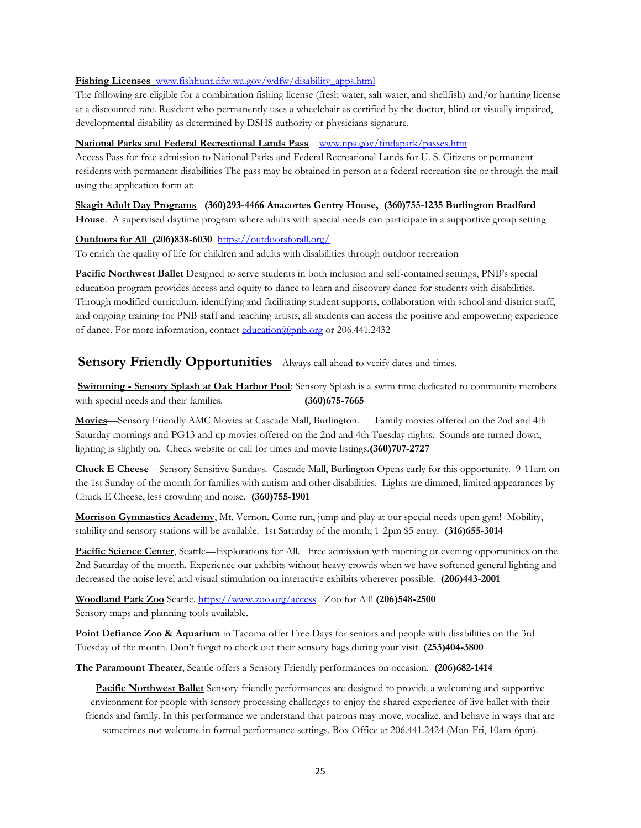#### **Fishing Licenses** [www.fishhunt.dfw.wa.gov/wdfw/disability\\_apps.html](http://www.fishhunt.dfw.wa.gov/wdfw/disability_apps.html)

The following are eligible for a combination fishing license (fresh water, salt water, and shellfish) and/or hunting license at a discounted rate. Resident who permanently uses a wheelchair as certified by the doctor, blind or visually impaired, developmental disability as determined by DSHS authority or physicians signature.

#### **National Parks and Federal Recreational Lands Pass** [www.nps.gov/findapark/passes.htm](http://www.nps.gov/findapark/passes.htm)

Access Pass for free admission to National Parks and Federal Recreational Lands for U. S. Citizens or permanent residents with permanent disabilities The pass may be obtained in person at a federal recreation site or through the mail using the application form at:

#### **Skagit Adult Day Programs (360)293-4466 Anacortes Gentry House, (360)755-1235 Burlington Bradford**

**House**. A supervised daytime program where adults with special needs can participate in a supportive group setting

#### **Outdoors for All (206)838-6030** <https://outdoorsforall.org/>

To enrich the quality of life for children and adults with disabilities through outdoor recreation

**Pacific Northwest Ballet** Designed to serve students in both inclusion and self-contained settings, PNB's special education program provides access and equity to dance to learn and discovery dance for students with disabilities. Through modified curriculum, identifying and facilitating student supports, collaboration with school and district staff, and ongoing training for PNB staff and teaching artists, all students can access the positive and empowering experience of dance. For more information, contact [education@pnb.org](mailto:education@pnb.org) or 206.441.2432

### **Sensory Friendly Opportunities** Always call ahead to verify dates and times.

**Swimming - Sensory Splash at Oak Harbor Pool**: Sensory Splash is a swim time dedicated to community members with special needs and their families. **(360)675-7665** 

**Movies**—Sensory Friendly AMC Movies at Cascade Mall, Burlington. Family movies offered on the 2nd and 4th Saturday mornings and PG13 and up movies offered on the 2nd and 4th Tuesday nights. Sounds are turned down, lighting is slightly on. Check website or call for times and movie listings.**(360)707-2727**

**Chuck E Cheese**—Sensory Sensitive Sundays. Cascade Mall, Burlington Opens early for this opportunity. 9-11am on the 1st Sunday of the month for families with autism and other disabilities. Lights are dimmed, limited appearances by Chuck E Cheese, less crowding and noise. **(360)755-1901**

**Morrison Gymnastics Academy**, Mt. Vernon. Come run, jump and play at our special needs open gym! Mobility, stability and sensory stations will be available. 1st Saturday of the month, 1-2pm \$5 entry. **(316)655-3014**

**Pacific Science Center**, Seattle—Explorations for All. Free admission with morning or evening opportunities on the 2nd Saturday of the month. Experience our exhibits without heavy crowds when we have softened general lighting and decreased the noise level and visual stimulation on interactive exhibits wherever possible. **(206)443-2001**

**Woodland Park Zoo** Seattle. <https://www.zoo.org/access> Zoo for All! **(206)548-2500** Sensory maps and planning tools available.

**Point Defiance Zoo & Aquarium** in Tacoma offer Free Days for seniors and people with disabilities on the 3rd Tuesday of the month. Don't forget to check out their sensory bags during your visit. **(253)404-3800**

**The Paramount Theater**, Seattle offers a Sensory Friendly performances on occasion. **(206)682-1414**

**Pacific Northwest Ballet** Sensory-friendly performances are designed to provide a welcoming and supportive environment for people with sensory processing challenges to enjoy the shared experience of live ballet with their friends and family. In this performance we understand that patrons may move, vocalize, and behave in ways that are sometimes not welcome in formal performance settings. Box Office at 206.441.2424 (Mon-Fri, 10am-6pm).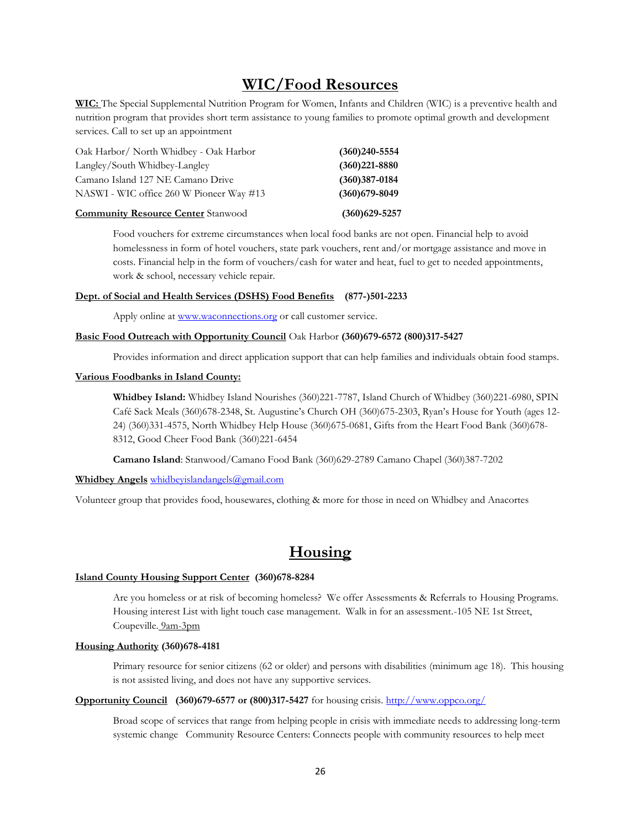## **WIC/Food Resources**

**WIC:** The Special Supplemental Nutrition Program for Women, Infants and Children (WIC) is a preventive health and nutrition program that provides short term assistance to young families to promote optimal growth and development services. Call to set up an appointment

| Oak Harbor/ North Whidbey - Oak Harbor    | $(360)240 - 5554$ |
|-------------------------------------------|-------------------|
| Langley/South Whidbey-Langley             | $(360)221 - 8880$ |
| Camano Island 127 NE Camano Drive         | $(360)387 - 0184$ |
| NASWI - WIC office 260 W Pioneer Way #13  | $(360)$ 679-8049  |
| <b>Community Resource Center</b> Stanwood | $(360)629 - 5257$ |

Food vouchers for extreme circumstances when local food banks are not open. Financial help to avoid homelessness in form of hotel vouchers, state park vouchers, rent and/or mortgage assistance and move in costs. Financial help in the form of vouchers/cash for water and heat, fuel to get to needed appointments, work & school, necessary vehicle repair.

#### **Dept. of Social and Health Services (DSHS) Food Benefits (877-)501-2233**

Apply online at [www.waconnections.org](http://www.waconnections.org/) or call customer service.

#### **Basic Food Outreach with Opportunity Council** Oak Harbor **(360)679-6572 (800)317-5427**

Provides information and direct application support that can help families and individuals obtain food stamps.

#### **Various Foodbanks in Island County:**

**Whidbey Island:** Whidbey Island Nourishes (360)221-7787, Island Church of Whidbey (360)221-6980, SPIN Café Sack Meals (360)678-2348, St. Augustine's Church OH (360)675-2303, Ryan's House for Youth (ages 12- 24) (360)331-4575, North Whidbey Help House (360)675-0681, Gifts from the Heart Food Bank (360)678- 8312, Good Cheer Food Bank (360)221-6454

**Camano Island**: Stanwood/Camano Food Bank (360)629-2789 Camano Chapel (360)387-7202

#### **Whidbey Angels** [whidbeyislandangels@gmail.com](mailto:whidbeyislandangels@gmail.com)

Volunteer group that provides food, housewares, clothing & more for those in need on Whidbey and Anacortes

## **Housing**

#### **Island County Housing Support Center (360)678-8284**

Are you homeless or at risk of becoming homeless? We offer Assessments & Referrals to Housing Programs. Housing interest List with light touch case management. Walk in for an assessment.-105 NE 1st Street, Coupeville. 9am-3pm

#### **Housing Authority (360)678-4181**

Primary resource for senior citizens (62 or older) and persons with disabilities (minimum age 18). This housing is not assisted living, and does not have any supportive services.

#### **Opportunity Council (360)679-6577 or (800)317-5427** for housing crisis.<http://www.oppco.org/>

Broad scope of services that range from helping people in crisis with immediate needs to addressing long-term systemic change Community Resource Centers: Connects people with community resources to help meet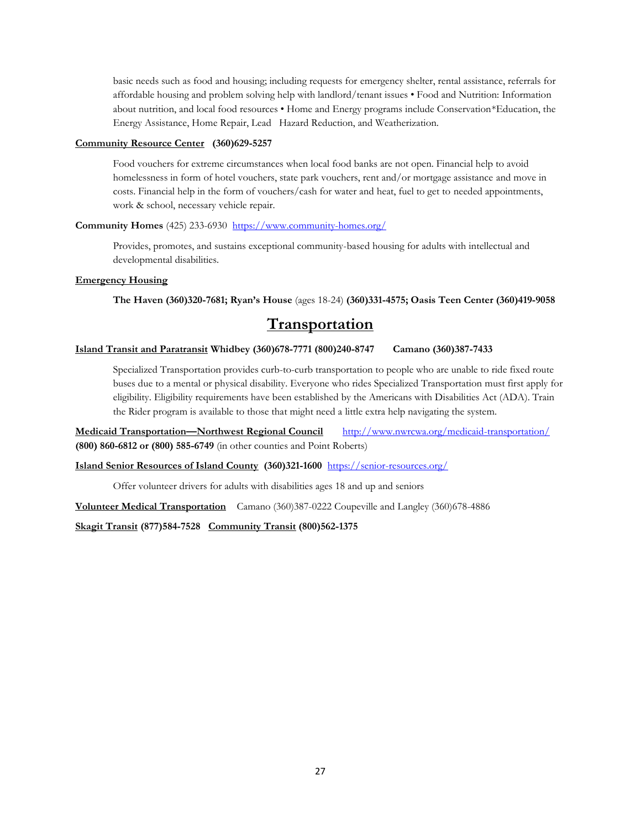basic needs such as food and housing; including requests for emergency shelter, rental assistance, referrals for affordable housing and problem solving help with landlord/tenant issues • Food and Nutrition: Information about nutrition, and local food resources • Home and Energy programs include Conservation\*Education, the Energy Assistance, Home Repair, Lead Hazard Reduction, and Weatherization.

#### **Community Resource Center (360)629-5257**

Food vouchers for extreme circumstances when local food banks are not open. Financial help to avoid homelessness in form of hotel vouchers, state park vouchers, rent and/or mortgage assistance and move in costs. Financial help in the form of vouchers/cash for water and heat, fuel to get to needed appointments, work & school, necessary vehicle repair.

#### **Community Homes** (425) 233-6930 <https://www.community-homes.org/>

Provides, promotes, and sustains exceptional community-based housing for adults with intellectual and developmental disabilities.

#### **Emergency Housing**

**The Haven (360)320-7681; Ryan's House** (ages 18-24) **(360)331-4575; Oasis Teen Center (360)419-9058**

## **Transportation**

#### **Island Transit and Paratransit Whidbey (360)678-7771 (800)240-8747 Camano (360)387-7433**

Specialized Transportation provides curb-to-curb transportation to people who are unable to ride fixed route buses due to a mental or physical disability. Everyone who rides Specialized Transportation must first apply for eligibility. Eligibility requirements have been established by the Americans with Disabilities Act (ADA). Train the Rider program is available to those that might need a little extra help navigating the system.

**Medicaid Transportation—Northwest Regional Council** <http://www.nwrcwa.org/medicaid-transportation/> **(800) 860-6812 or (800) 585-6749** (in other counties and Point Roberts)

**Island Senior Resources of Island County (360)321-1600** <https://senior-resources.org/>

Offer volunteer drivers for adults with disabilities ages 18 and up and seniors

**Volunteer Medical Transportation** Camano (360)387-0222 Coupeville and Langley (360)678-4886

**Skagit Transit (877)584-7528 Community Transit (800)562-1375**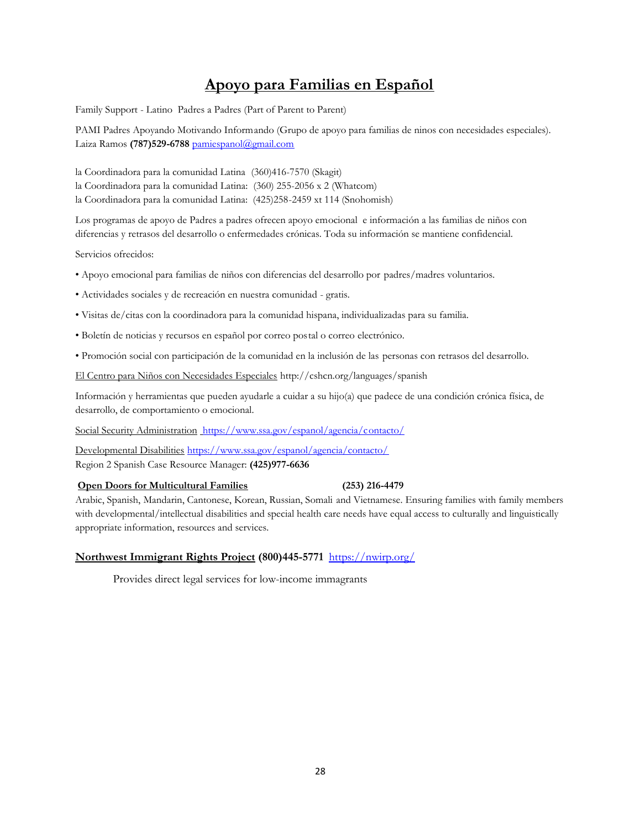# **Apoyo para Familias en Español**

Family Support - Latino Padres a Padres (Part of Parent to Parent)

PAMI Padres Apoyando Motivando Informando (Grupo de apoyo para familias de ninos con necesidades especiales). Laiza Ramos (787)529-6788 pamiespanol@gmail.com

la Coordinadora para la comunidad Latina (360)416-7570 (Skagit) la Coordinadora para la comunidad Latina: (360) 255-2056 x 2 (Whatcom) la Coordinadora para la comunidad Latina: (425)258-2459 xt 114 (Snohomish)

Los programas de apoyo de Padres a padres ofrecen apoyo emocional e información a las familias de niños con diferencias y retrasos del desarrollo o enfermedades crónicas. Toda su información se mantiene confidencial.

Servicios ofrecidos:

- Apoyo emocional para familias de niños con diferencias del desarrollo por padres/madres voluntarios.
- Actividades sociales y de recreación en nuestra comunidad gratis.
- Visitas de/citas con la coordinadora para la comunidad hispana, individualizadas para su familia.
- Boletín de noticias y recursos en español por correo postal o correo electrónico.
- Promoción social con participación de la comunidad en la inclusión de las personas con retrasos del desarrollo.

El Centro para Niños con Necesidades Especiales http://cshcn.org/languages/spanish

Información y herramientas que pueden ayudarle a cuidar a su hijo(a) que padece de una condición crónica física, de desarrollo, de comportamiento o emocional.

Social Security Administration https://www.ssa.gov/espanol/agencia/contacto/

Developmental Disabilities https://www.ssa.gov/espanol/agencia/contacto/ Region 2 Spanish Case Resource Manager: **(425)977-6636**

#### **Open Doors for Multicultural Families (253) 216-4479**

Arabic, Spanish, Mandarin, Cantonese, Korean, Russian, Somali and Vietnamese. Ensuring families with family members with developmental/intellectual disabilities and special health care needs have equal access to culturally and linguistically appropriate information, resources and services.

#### **Northwest Immigrant Rights Project (800)445-5771** <https://nwirp.org/>

Provides direct legal services for low-income immagrants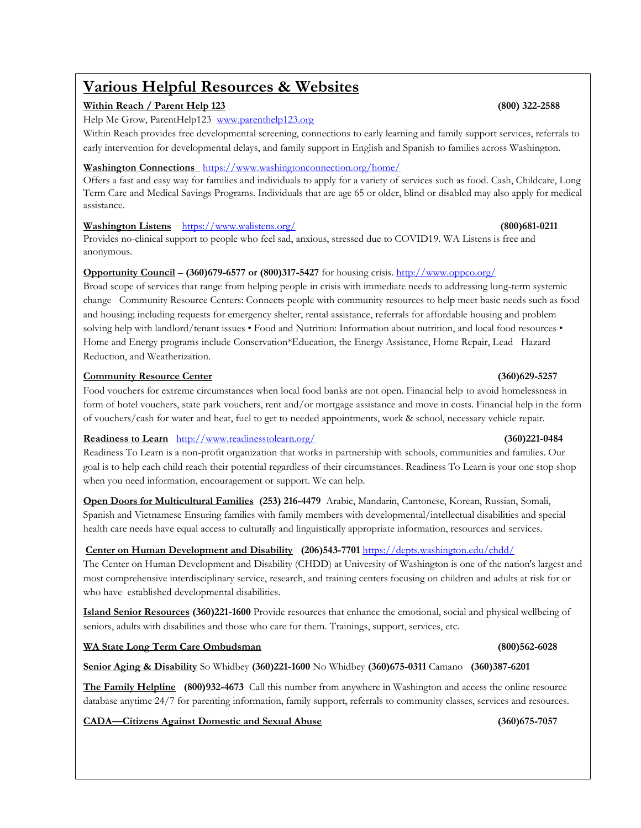# **Various Helpful Resources & Websites**

#### **Within Reach / Parent Help 123 (800) 322-2588**

Help Me Grow, ParentHelp123 www.parenthelp123.org

Within Reach provides free developmental screening, connections to early learning and family support services, referrals to early intervention for developmental delays, and family support in English and Spanish to families across Washington.

#### **Washington Connections** <https://www.washingtonconnection.org/home/>

Offers a fast and easy way for families and individuals to apply for a variety of services such as food. Cash, Childcare, Long Term Care and Medical Savings Programs. Individuals that are age 65 or older, blind or disabled may also apply for medical assistance.

#### **Washington Listens** <https://www.walistens.org/> **(800)681-0211**

Provides no-clinical support to people who feel sad, anxious, stressed due to COVID19. WA Listens is free and anonymous.

### **Opportunity Council** –  $(360)679-6577$  or  $(800)317-5427$  for housing crisis. http://www.oppco.org/

Broad scope of services that range from helping people in crisis with immediate needs to addressing long-term systemic change Community Resource Centers: Connects people with community resources to help meet basic needs such as food and housing; including requests for emergency shelter, rental assistance, referrals for affordable housing and problem solving help with landlord/tenant issues • Food and Nutrition: Information about nutrition, and local food resources • Home and Energy programs include Conservation\*Education, the Energy Assistance, Home Repair, Lead Hazard Reduction, and Weatherization.

#### **Community Resource Center (360)629-5257**

Food vouchers for extreme circumstances when local food banks are not open. Financial help to avoid homelessness in form of hotel vouchers, state park vouchers, rent and/or mortgage assistance and move in costs. Financial help in the form of vouchers/cash for water and heat, fuel to get to needed appointments, work & school, necessary vehicle repair.

#### **Readiness to Learn** <http://www.readinesstolearn.org/>**(360)221-0484**

Readiness To Learn is a non-profit organization that works in partnership with schools, communities and families. Our goal is to help each child reach their potential regardless of their circumstances. Readiness To Learn is your one stop shop when you need information, encouragement or support. We can help.

**Open Doors for Multicultural Families (253) 216-4479** Arabic, Mandarin, Cantonese, Korean, Russian, Somali, Spanish and Vietnamese Ensuring families with family members with developmental/intellectual disabilities and special health care needs have equal access to culturally and linguistically appropriate information, resources and services.

### **Center on Human Development and Disability (206)543-7701** <https://depts.washington.edu/chdd/>

The Center on Human Development and Disability (CHDD) at University of Washington is one of the nation's largest and most comprehensive interdisciplinary service, research, and training centers focusing on children and adults at risk for or who have established developmental disabilities.

**Island Senior Resources (360)221-1600** Provide resources that enhance the emotional, social and physical wellbeing of seniors, adults with disabilities and those who care for them. Trainings, support, services, etc.

### **WA State Long Term Care Ombudsman (800)562-6028**

**Senior Aging & Disability** So Whidbey **(360)221-1600** No Whidbey **(360)675-0311** Camano **(360)387-6201**

**The Family Helpline (800)932-4673** Call this number from anywhere in Washington and access the online resource database anytime 24/7 for parenting information, family support, referrals to community classes, services and resources.

#### **CADA—Citizens Against Domestic and Sexual Abuse (360)675-7057**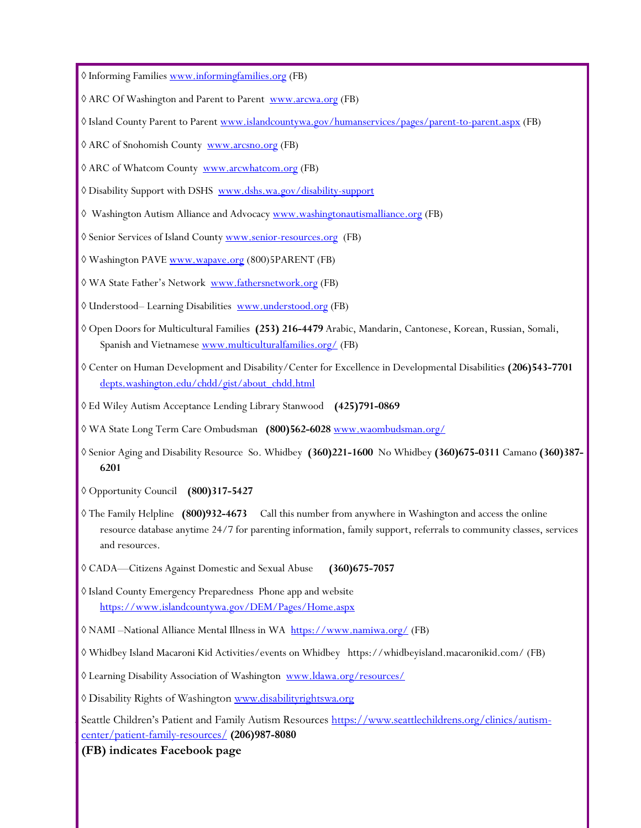Informing Families<www.informingfamilies.org> (FB)

- $\Diamond$  ARC Of Washington and Parent to Parent<www.arcwa.org> (FB)
- Island County Parent to Parent<www.islandcountywa.gov/humanservices/pages/parent-to-parent.aspx> (FB)
- ARC of Snohomish County <www.arcsno.org> (FB)
- ARC of Whatcom County <www.arcwhatcom.org> (FB)
- Disability Support with DSHS [www.dshs.wa.gov/disability-support](http://www.dshs.wa.gov/disability-support)
- Washington Autism Alliance and Advocac[y www.washingtonautismalliance.org](www.washingtonautismalliance.org) (FB)
- Senior Services of Island County<www.senior-resources.org>(FB)
- Washington PAVE<www.wapave.org> (800)5PARENT (FB)
- WA State Father's Network <www.fathersnetwork.org> (FB)
- Understood– Learning Disabilities <www.understood.org> (FB)
- Open Doors for Multicultural Families **(253) 216-4479** Arabic, Mandarin, Cantonese, Korean, Russian, Somali, Spanish and Vietnames[e www.multiculturalfamilies.org/](http://www.multiculturalfamilies.org/) (FB)
- Center on Human Development and Disability/Center for Excellence in Developmental Disabilities **(206)543-7701** [depts.washington.edu/chdd/gist/about\\_chdd.html](https://depts.washington.edu/chdd/gist/about_chdd.html)
- Ed Wiley Autism Acceptance Lending Library Stanwood **(425)791-0869**
- WA State Long Term Care Ombudsman **(800)562-6028** [www.waombudsman.org/](http://www.waombudsman.org/)
- Senior Aging and Disability Resource So. Whidbey **(360)221-1600** No Whidbey **(360)675-0311** Camano **(360)387- 6201**
- Opportunity Council **(800)317-5427**
- The Family Helpline **(800)932-4673** Call this number from anywhere in Washington and access the online resource database anytime 24/7 for parenting information, family support, referrals to community classes, services and resources.
- CADA—Citizens Against Domestic and Sexual Abuse **(360)675-7057**
- Island County Emergency Preparedness Phone app and website <https://www.islandcountywa.gov/DEM/Pages/Home.aspx>
- NAMI –National Alliance Mental Illness in WA <https://www.namiwa.org/> (FB)
- Whidbey Island Macaroni Kid Activities/events on Whidbey https://whidbeyisland.macaronikid.com/ (FB)
- Learning Disability Association of Washington <www.ldawa.org/resources/>
- **Di[agnosis Specific In](http://www.disabilityrightswa.org/)formation** Disability Rights of Washington www.disabilityrightswa.org

Seattle Childre[n's Patient and Family](http://www.autismspeaks.org/) Autism Resources [https://www.seattlechildrens.org/clinics/autism-](https://www.seattlechildrens.org/clinics/autism-center/patient-family-resources/)**<u>Center/patient-family-resources/</u> <b>(206)987-8080** 

**(FB) indicates Facebook page**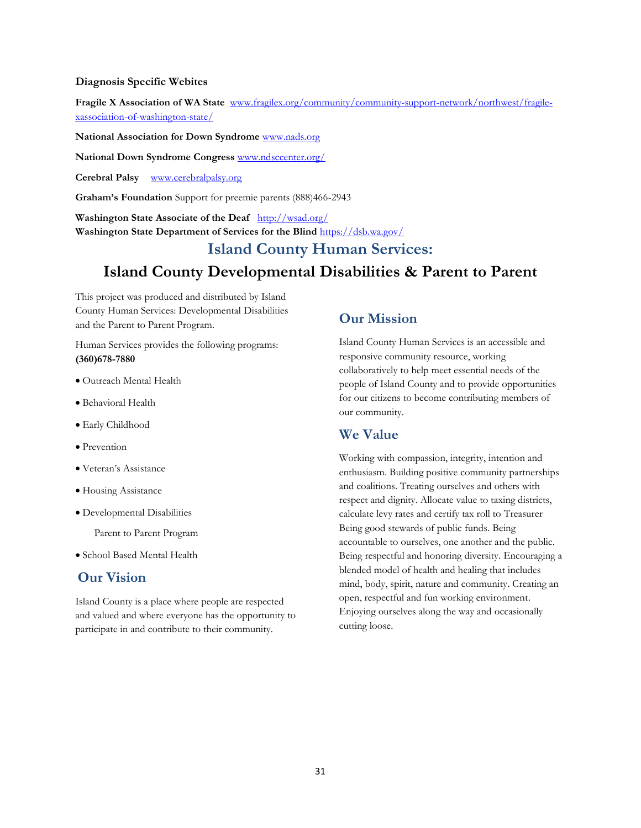#### **Diagnosis Specific Webites**

**Fragile X Association of WA State** [www.fragilex.org/community/community-support-network/northwest/fragile](http://www.fragilex.org/community/community-support-network/northwest/fragile-xassociation-of-washington-state/)[xassociation-of-washington-state/](http://www.fragilex.org/community/community-support-network/northwest/fragile-xassociation-of-washington-state/)

**National Association for Down Syndrome** [www.nads.org](http://www.nads.org/)

**National Down Syndrome Congress** [www.ndsccenter.org/](http://www.ndsccenter.org/)

**Cerebral Palsy** [www.cerebralpalsy.org](http://www.cerebralpalsy.org/)

**Graham's Foundation** Support for preemie parents (888)466-2943

**Washington State Associate of the Deaf** <http://wsad.org/> **Washington State Department of Services for the Blind** <https://dsb.wa.gov/>

# **Island County Human Services: Island County Developmental Disabilities & Parent to Parent**

This project was produced and distributed by Island County Human Services: Developmental Disabilities and the Parent to Parent Program.

Human Services provides the following programs: **(360)678-7880**

- Outreach Mental Health
- Behavioral Health
- Early Childhood
- Prevention
- Veteran's Assistance
- Housing Assistance
- Developmental Disabilities

Parent to Parent Program

• School Based Mental Health

### **Our Vision**

Island County is a place where people are respected and valued and where everyone has the opportunity to participate in and contribute to their community.

### **Our Mission**

Island County Human Services is an accessible and responsive community resource, working collaboratively to help meet essential needs of the people of Island County and to provide opportunities for our citizens to become contributing members of our community.

### **We Value**

Working with compassion, integrity, intention and enthusiasm. Building positive community partnerships and coalitions. Treating ourselves and others with respect and dignity. Allocate value to taxing districts, calculate levy rates and certify tax roll to Treasurer Being good stewards of public funds. Being accountable to ourselves, one another and the public. Being respectful and honoring diversity. Encouraging a blended model of health and healing that includes mind, body, spirit, nature and community. Creating an open, respectful and fun working environment. Enjoying ourselves along the way and occasionally cutting loose.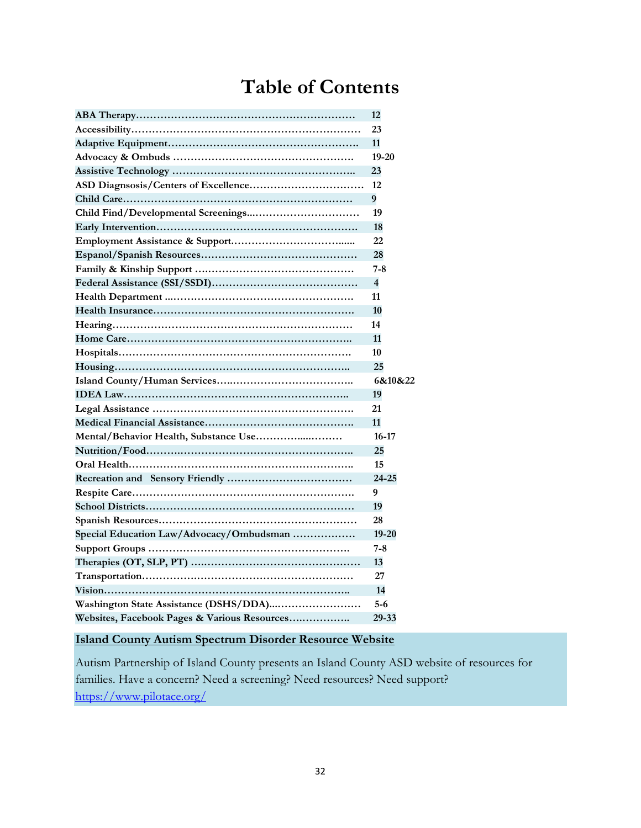# **Table of Contents**

|                                              | 12                      |
|----------------------------------------------|-------------------------|
|                                              | 23                      |
|                                              | 11                      |
|                                              | $19 - 20$               |
|                                              | 23                      |
|                                              | 12                      |
|                                              | 9                       |
|                                              | 19                      |
|                                              | 18                      |
|                                              | 22                      |
|                                              | 28                      |
|                                              | $7 - 8$                 |
|                                              | $\overline{\mathbf{4}}$ |
|                                              | 11                      |
|                                              | 10                      |
|                                              | 14                      |
|                                              | 11                      |
|                                              | 10                      |
|                                              | 25                      |
|                                              | 6&10&22                 |
|                                              | 19                      |
|                                              | 21                      |
|                                              | 11                      |
| Mental/Behavior Health, Substance Use        | $16 - 17$               |
|                                              | 25                      |
|                                              | 15                      |
|                                              | 24-25                   |
|                                              | 9                       |
|                                              | 19                      |
|                                              | 28                      |
| Special Education Law/Advocacy/Ombudsman     | $19 - 20$               |
|                                              | $7 - 8$                 |
|                                              | 13                      |
|                                              | 27                      |
|                                              | 14                      |
|                                              | $5 - 6$                 |
| Websites, Facebook Pages & Various Resources | 29-33                   |
|                                              |                         |

## **Island County Autism Spectrum Disorder Resource Website**

Autism Partnership of Island County presents an Island County ASD website of resources for families. Have a concern? Need a screening? Need resources? Need support? <https://www.pilotace.org/>